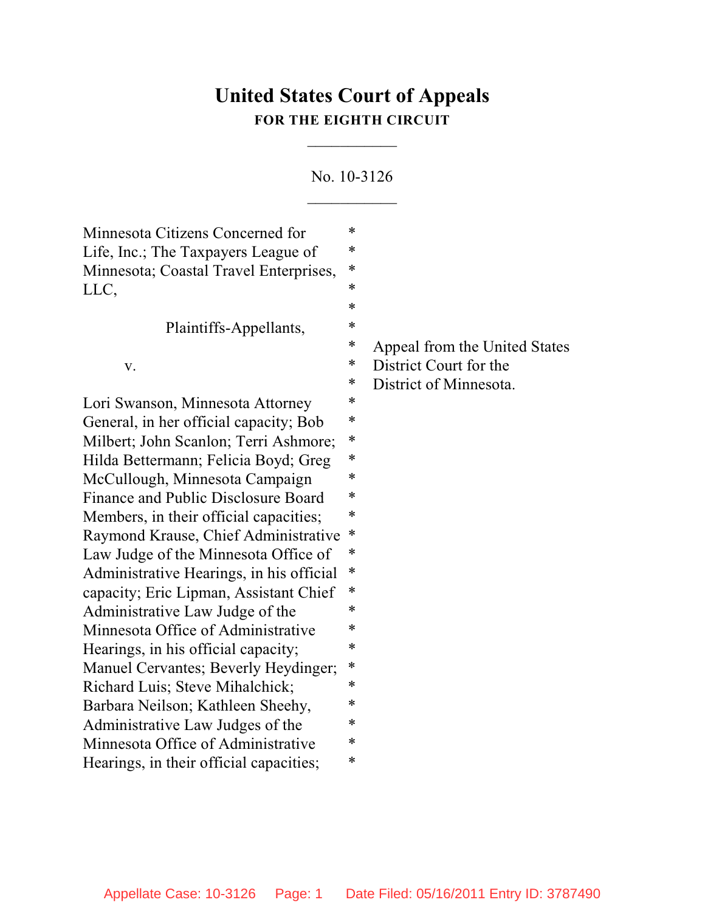# **United States Court of Appeals FOR THE EIGHTH CIRCUIT**

 $\overline{\phantom{a}}$ 

No. 10-3126  $\frac{1}{2}$ 

| Minnesota Citizens Concerned for         | ∗ |                               |
|------------------------------------------|---|-------------------------------|
| Life, Inc.; The Taxpayers League of      | ∗ |                               |
| Minnesota; Coastal Travel Enterprises,   | ∗ |                               |
| LLC,                                     | ∗ |                               |
|                                          | ∗ |                               |
| Plaintiffs-Appellants,                   | ∗ |                               |
|                                          | ∗ | Appeal from the United States |
| V.                                       | ∗ | District Court for the        |
|                                          | ∗ | District of Minnesota.        |
| Lori Swanson, Minnesota Attorney         | ∗ |                               |
| General, in her official capacity; Bob   | ∗ |                               |
| Milbert; John Scanlon; Terri Ashmore;    | ∗ |                               |
| Hilda Bettermann; Felicia Boyd; Greg     | * |                               |
| McCullough, Minnesota Campaign           | ∗ |                               |
| Finance and Public Disclosure Board      | ∗ |                               |
| Members, in their official capacities;   | ∗ |                               |
| Raymond Krause, Chief Administrative     | ∗ |                               |
| Law Judge of the Minnesota Office of     | ∗ |                               |
| Administrative Hearings, in his official | ∗ |                               |
| capacity; Eric Lipman, Assistant Chief   | ∗ |                               |
| Administrative Law Judge of the          | * |                               |
| Minnesota Office of Administrative       | ∗ |                               |
| Hearings, in his official capacity;      | ∗ |                               |
| Manuel Cervantes; Beverly Heydinger;     | ∗ |                               |
| Richard Luis; Steve Mihalchick;          | ∗ |                               |
| Barbara Neilson; Kathleen Sheehy,        | * |                               |
| Administrative Law Judges of the         | ∗ |                               |
| Minnesota Office of Administrative       | ∗ |                               |
| Hearings, in their official capacities;  | ∗ |                               |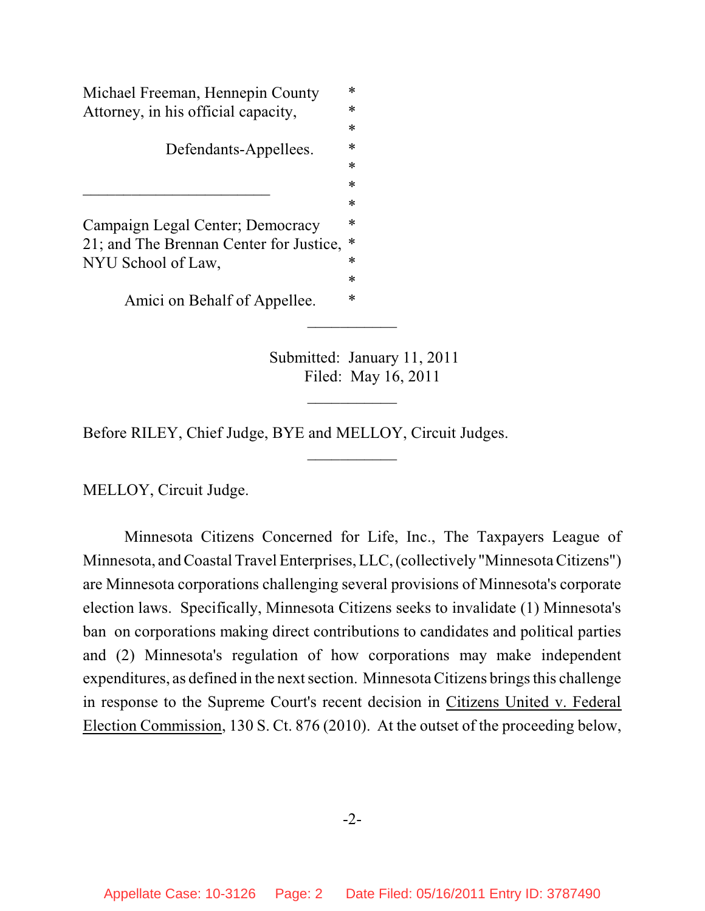Michael Freeman, Hennepin County  $*$ Attorney, in his official capacity,  $*$ \* Defendants-Appellees. \*  $\ast$ \* Campaign Legal Center; Democracy \* 21; and The Brennan Center for Justice, \* NYU School of Law, \* Amici on Behalf of Appellee.  $*$ 

> Submitted: January 11, 2011 Filed: May 16, 2011

 $\frac{1}{2}$ 

 $\overline{\phantom{a}}$ 

 $\frac{1}{2}$ 

Before RILEY, Chief Judge, BYE and MELLOY, Circuit Judges.

MELLOY, Circuit Judge.

Minnesota Citizens Concerned for Life, Inc., The Taxpayers League of Minnesota, and Coastal Travel Enterprises, LLC, (collectively "MinnesotaCitizens") are Minnesota corporations challenging several provisions of Minnesota's corporate election laws. Specifically, Minnesota Citizens seeks to invalidate (1) Minnesota's ban on corporations making direct contributions to candidates and political parties and (2) Minnesota's regulation of how corporations may make independent expenditures, as defined in the next section. Minnesota Citizens brings this challenge in response to the Supreme Court's recent decision in Citizens United v. Federal Election Commission, 130 S. Ct. 876 (2010). At the outset of the proceeding below,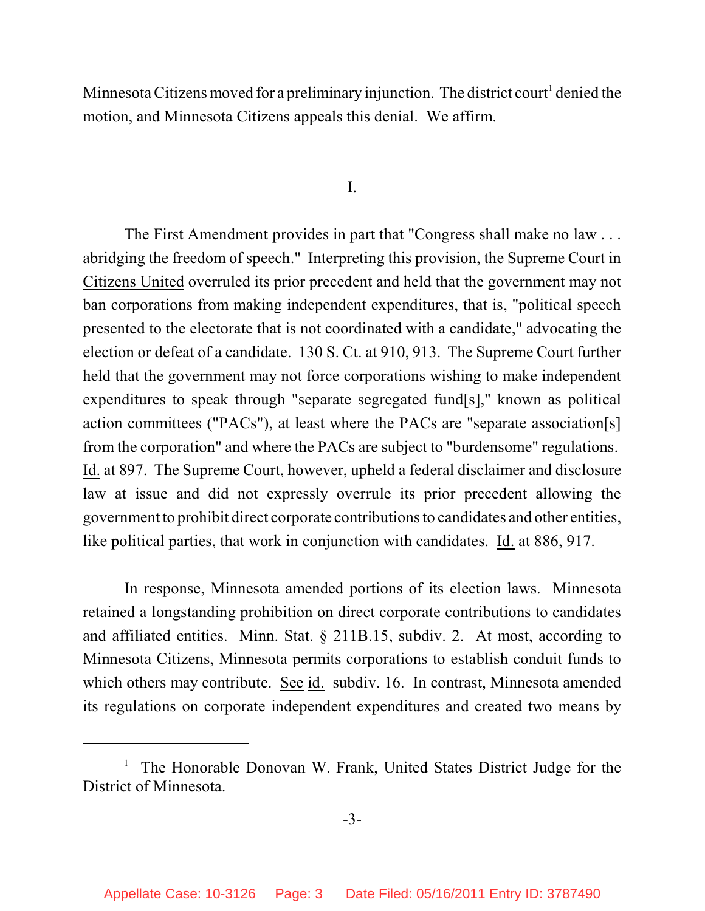Minnesota Citizens moved for a preliminary injunction. The district court<sup>1</sup> denied the motion, and Minnesota Citizens appeals this denial. We affirm.

I.

The First Amendment provides in part that "Congress shall make no law . . . abridging the freedom of speech." Interpreting this provision, the Supreme Court in Citizens United overruled its prior precedent and held that the government may not ban corporations from making independent expenditures, that is, "political speech presented to the electorate that is not coordinated with a candidate," advocating the election or defeat of a candidate. 130 S. Ct. at 910, 913. The Supreme Court further held that the government may not force corporations wishing to make independent expenditures to speak through "separate segregated fund[s]," known as political action committees ("PACs"), at least where the PACs are "separate association[s] from the corporation" and where the PACs are subject to "burdensome" regulations. Id. at 897. The Supreme Court, however, upheld a federal disclaimer and disclosure law at issue and did not expressly overrule its prior precedent allowing the government to prohibit direct corporate contributionsto candidates and other entities, like political parties, that work in conjunction with candidates. Id. at 886, 917.

In response, Minnesota amended portions of its election laws. Minnesota retained a longstanding prohibition on direct corporate contributions to candidates and affiliated entities. Minn. Stat. § 211B.15, subdiv. 2. At most, according to Minnesota Citizens, Minnesota permits corporations to establish conduit funds to which others may contribute. See id. subdiv. 16. In contrast, Minnesota amended its regulations on corporate independent expenditures and created two means by

<sup>&</sup>lt;sup>1</sup> The Honorable Donovan W. Frank, United States District Judge for the District of Minnesota.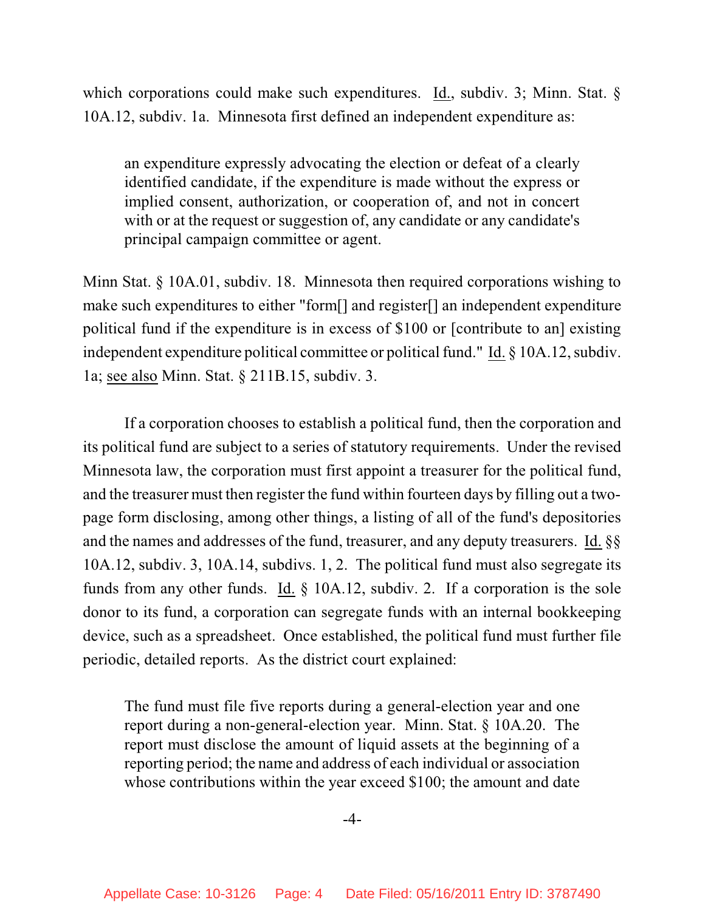which corporations could make such expenditures. Id., subdiv. 3; Minn. Stat. § 10A.12, subdiv. 1a. Minnesota first defined an independent expenditure as:

an expenditure expressly advocating the election or defeat of a clearly identified candidate, if the expenditure is made without the express or implied consent, authorization, or cooperation of, and not in concert with or at the request or suggestion of, any candidate or any candidate's principal campaign committee or agent.

Minn Stat. § 10A.01, subdiv. 18. Minnesota then required corporations wishing to make such expenditures to either "form[] and register[] an independent expenditure political fund if the expenditure is in excess of \$100 or [contribute to an] existing independent expenditure political committee or political fund." Id.  $\S$  10A.12, subdiv. 1a; see also Minn. Stat. § 211B.15, subdiv. 3.

If a corporation chooses to establish a political fund, then the corporation and its political fund are subject to a series of statutory requirements. Under the revised Minnesota law, the corporation must first appoint a treasurer for the political fund, and the treasurer must then register the fund within fourteen days by filling out a twopage form disclosing, among other things, a listing of all of the fund's depositories and the names and addresses of the fund, treasurer, and any deputy treasurers. Id. §§ 10A.12, subdiv. 3, 10A.14, subdivs. 1, 2. The political fund must also segregate its funds from any other funds. Id. § 10A.12, subdiv. 2. If a corporation is the sole donor to its fund, a corporation can segregate funds with an internal bookkeeping device, such as a spreadsheet. Once established, the political fund must further file periodic, detailed reports. As the district court explained:

The fund must file five reports during a general-election year and one report during a non-general-election year. Minn. Stat. § 10A.20. The report must disclose the amount of liquid assets at the beginning of a reporting period; the name and address of each individual or association whose contributions within the year exceed \$100; the amount and date

-4-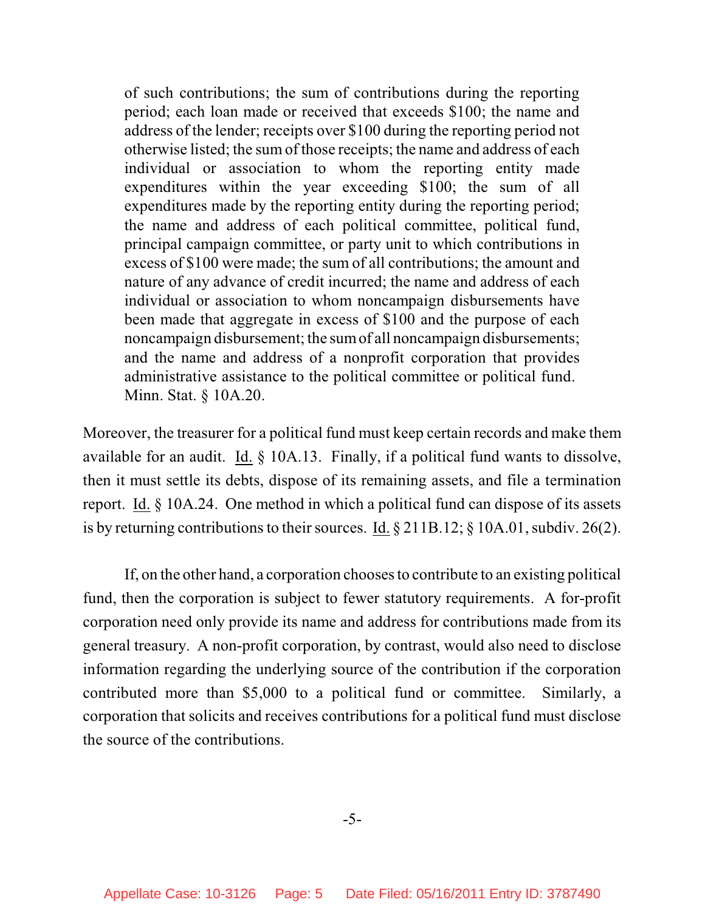of such contributions; the sum of contributions during the reporting period; each loan made or received that exceeds \$100; the name and address of the lender; receipts over \$100 during the reporting period not otherwise listed; the sum of those receipts; the name and address of each individual or association to whom the reporting entity made expenditures within the year exceeding \$100; the sum of all expenditures made by the reporting entity during the reporting period; the name and address of each political committee, political fund, principal campaign committee, or party unit to which contributions in excess of \$100 were made; the sum of all contributions; the amount and nature of any advance of credit incurred; the name and address of each individual or association to whom noncampaign disbursements have been made that aggregate in excess of \$100 and the purpose of each noncampaign disbursement; the sumof all noncampaign disbursements; and the name and address of a nonprofit corporation that provides administrative assistance to the political committee or political fund. Minn. Stat. § 10A.20.

Moreover, the treasurer for a political fund must keep certain records and make them available for an audit. Id. § 10A.13. Finally, if a political fund wants to dissolve, then it must settle its debts, dispose of its remaining assets, and file a termination report. Id. § 10A.24. One method in which a political fund can dispose of its assets is by returning contributions to their sources. Id.  $\S 211B.12$ ;  $\S 10A.01$ , subdiv. 26(2).

If, on the other hand, a corporation chooses to contribute to an existing political fund, then the corporation is subject to fewer statutory requirements. A for-profit corporation need only provide its name and address for contributions made from its general treasury. A non-profit corporation, by contrast, would also need to disclose information regarding the underlying source of the contribution if the corporation contributed more than \$5,000 to a political fund or committee. Similarly, a corporation that solicits and receives contributions for a political fund must disclose the source of the contributions.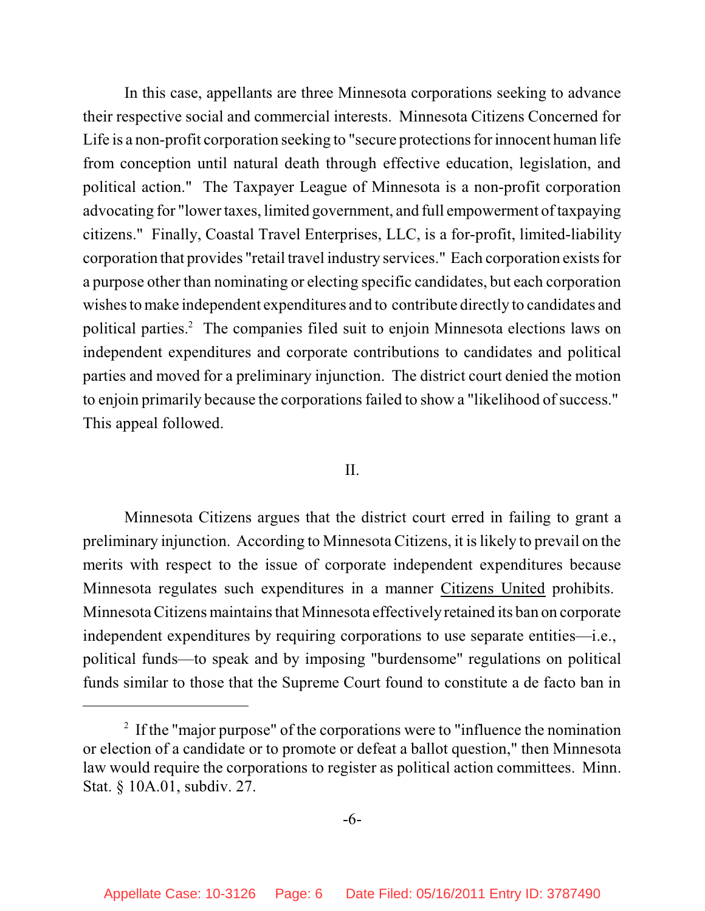In this case, appellants are three Minnesota corporations seeking to advance their respective social and commercial interests. Minnesota Citizens Concerned for Life is a non-profit corporation seeking to "secure protections for innocent human life from conception until natural death through effective education, legislation, and political action." The Taxpayer League of Minnesota is a non-profit corporation advocating for "lower taxes, limited government, and full empowerment oftaxpaying citizens." Finally, Coastal Travel Enterprises, LLC, is a for-profit, limited-liability corporation that provides "retail travel industry services." Each corporation existsfor a purpose other than nominating or electing specific candidates, but each corporation wishes to make independent expenditures and to contribute directly to candidates and political parties.<sup>2</sup> The companies filed suit to enjoin Minnesota elections laws on independent expenditures and corporate contributions to candidates and political parties and moved for a preliminary injunction. The district court denied the motion to enjoin primarily because the corporations failed to show a "likelihood of success." This appeal followed.

## II.

Minnesota Citizens argues that the district court erred in failing to grant a preliminary injunction. According to Minnesota Citizens, it is likely to prevail on the merits with respect to the issue of corporate independent expenditures because Minnesota regulates such expenditures in a manner Citizens United prohibits. Minnesota Citizens maintains that Minnesota effectively retained its ban on corporate independent expenditures by requiring corporations to use separate entities—i.e., political funds—to speak and by imposing "burdensome" regulations on political funds similar to those that the Supreme Court found to constitute a de facto ban in

 $2$  If the "major purpose" of the corporations were to "influence the nomination or election of a candidate or to promote or defeat a ballot question," then Minnesota law would require the corporations to register as political action committees. Minn. Stat. § 10A.01, subdiv. 27.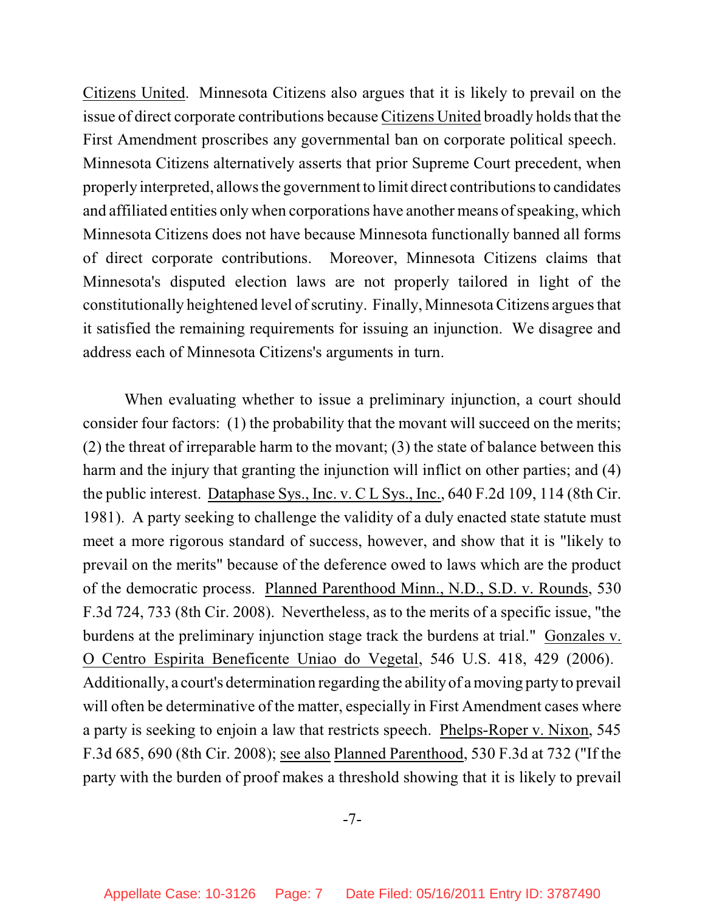Citizens United. Minnesota Citizens also argues that it is likely to prevail on the issue of direct corporate contributions because Citizens United broadly holds that the First Amendment proscribes any governmental ban on corporate political speech. Minnesota Citizens alternatively asserts that prior Supreme Court precedent, when properly interpreted, allows the government to limit direct contributionsto candidates and affiliated entities only when corporations have another means of speaking, which Minnesota Citizens does not have because Minnesota functionally banned all forms of direct corporate contributions. Moreover, Minnesota Citizens claims that Minnesota's disputed election laws are not properly tailored in light of the constitutionally heightened level ofscrutiny. Finally, Minnesota Citizens argues that it satisfied the remaining requirements for issuing an injunction. We disagree and address each of Minnesota Citizens's arguments in turn.

When evaluating whether to issue a preliminary injunction, a court should consider four factors: (1) the probability that the movant will succeed on the merits; (2) the threat of irreparable harm to the movant; (3) the state of balance between this harm and the injury that granting the injunction will inflict on other parties; and (4) the public interest. Dataphase Sys., Inc. v. C L Sys., Inc., 640 F.2d 109, 114 (8th Cir. 1981). A party seeking to challenge the validity of a duly enacted state statute must meet a more rigorous standard of success, however, and show that it is "likely to prevail on the merits" because of the deference owed to laws which are the product of the democratic process. Planned Parenthood Minn., N.D., S.D. v. Rounds, 530 F.3d 724, 733 (8th Cir. 2008). Nevertheless, as to the merits of a specific issue, "the burdens at the preliminary injunction stage track the burdens at trial." Gonzales v. O Centro Espirita Beneficente Uniao do Vegetal, 546 U.S. 418, 429 (2006). Additionally, a court's determination regarding the ability of a moving party to prevail will often be determinative of the matter, especially in First Amendment cases where a party is seeking to enjoin a law that restricts speech. Phelps-Roper v. Nixon, 545 F.3d 685, 690 (8th Cir. 2008); see also Planned Parenthood, 530 F.3d at 732 ("If the party with the burden of proof makes a threshold showing that it is likely to prevail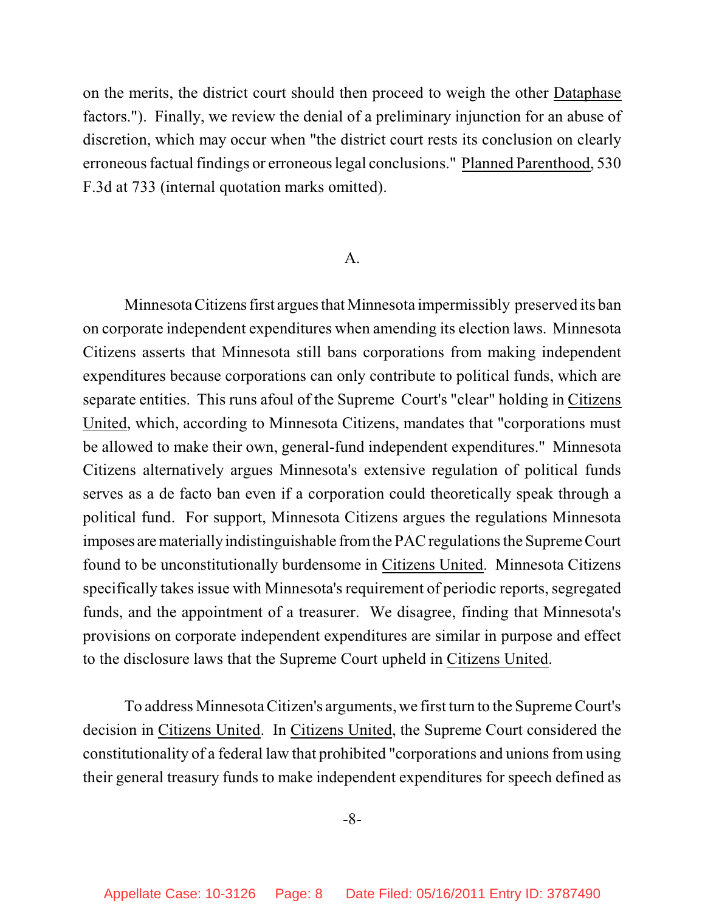on the merits, the district court should then proceed to weigh the other Dataphase factors."). Finally, we review the denial of a preliminary injunction for an abuse of discretion, which may occur when "the district court rests its conclusion on clearly erroneous factual findings or erroneous legal conclusions." Planned Parenthood, 530 F.3d at 733 (internal quotation marks omitted).

#### A.

MinnesotaCitizens first argues that Minnesota impermissibly preserved its ban on corporate independent expenditures when amending its election laws. Minnesota Citizens asserts that Minnesota still bans corporations from making independent expenditures because corporations can only contribute to political funds, which are separate entities. This runs afoul of the Supreme Court's "clear" holding in Citizens United, which, according to Minnesota Citizens, mandates that "corporations must be allowed to make their own, general-fund independent expenditures." Minnesota Citizens alternatively argues Minnesota's extensive regulation of political funds serves as a de facto ban even if a corporation could theoretically speak through a political fund. For support, Minnesota Citizens argues the regulations Minnesota imposes are materially indistinguishable from the PAC regulations the Supreme Court found to be unconstitutionally burdensome in Citizens United. Minnesota Citizens specifically takes issue with Minnesota's requirement of periodic reports, segregated funds, and the appointment of a treasurer. We disagree, finding that Minnesota's provisions on corporate independent expenditures are similar in purpose and effect to the disclosure laws that the Supreme Court upheld in Citizens United.

To address Minnesota Citizen's arguments, we first turn to the Supreme Court's decision in Citizens United. In Citizens United, the Supreme Court considered the constitutionality of a federal law that prohibited "corporations and unions from using their general treasury funds to make independent expenditures for speech defined as

-8-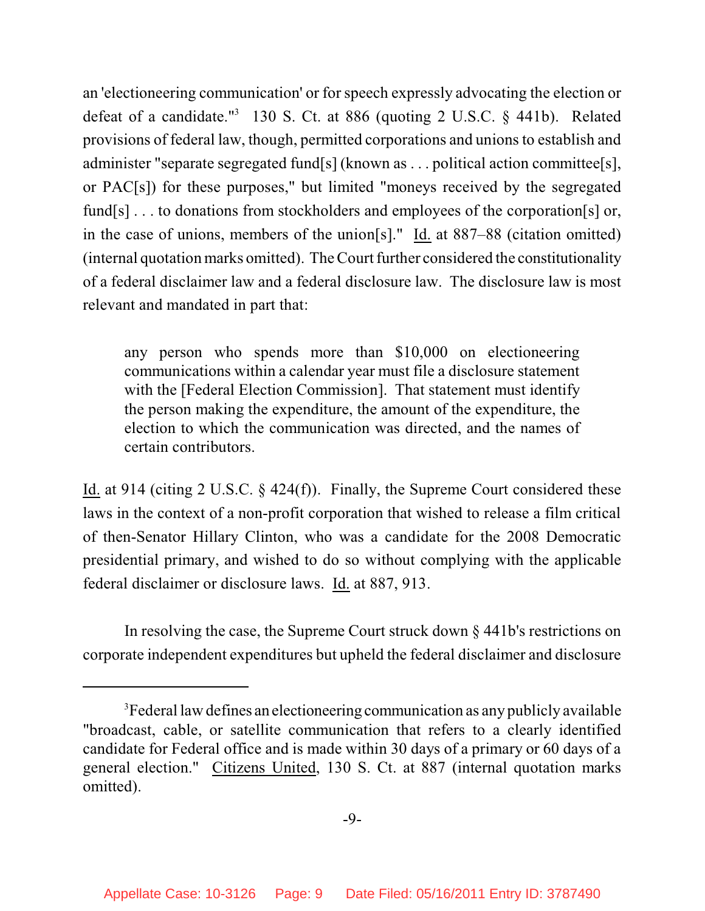an 'electioneering communication' or for speech expressly advocating the election or defeat of a candidate."<sup>3</sup> 130 S. Ct. at 886 (quoting 2 U.S.C.  $\S$  441b). Related provisions of federal law, though, permitted corporations and unionsto establish and administer "separate segregated fund[s] (known as . . . political action committee[s], or PAC[s]) for these purposes," but limited "moneys received by the segregated fund[s]... to donations from stockholders and employees of the corporation[s] or, in the case of unions, members of the union[s]." Id. at 887–88 (citation omitted) (internal quotation marks omitted). TheCourt further considered the constitutionality of a federal disclaimer law and a federal disclosure law. The disclosure law is most relevant and mandated in part that:

any person who spends more than \$10,000 on electioneering communications within a calendar year must file a disclosure statement with the [Federal Election Commission]. That statement must identify the person making the expenditure, the amount of the expenditure, the election to which the communication was directed, and the names of certain contributors.

Id. at 914 (citing 2 U.S.C. § 424(f)). Finally, the Supreme Court considered these laws in the context of a non-profit corporation that wished to release a film critical of then-Senator Hillary Clinton, who was a candidate for the 2008 Democratic presidential primary, and wished to do so without complying with the applicable federal disclaimer or disclosure laws. Id. at 887, 913.

In resolving the case, the Supreme Court struck down § 441b's restrictions on corporate independent expenditures but upheld the federal disclaimer and disclosure

<sup>&</sup>lt;sup>3</sup> Federal law defines an electioneering communication as any publicly available "broadcast, cable, or satellite communication that refers to a clearly identified candidate for Federal office and is made within 30 days of a primary or 60 days of a general election." Citizens United, 130 S. Ct. at 887 (internal quotation marks omitted).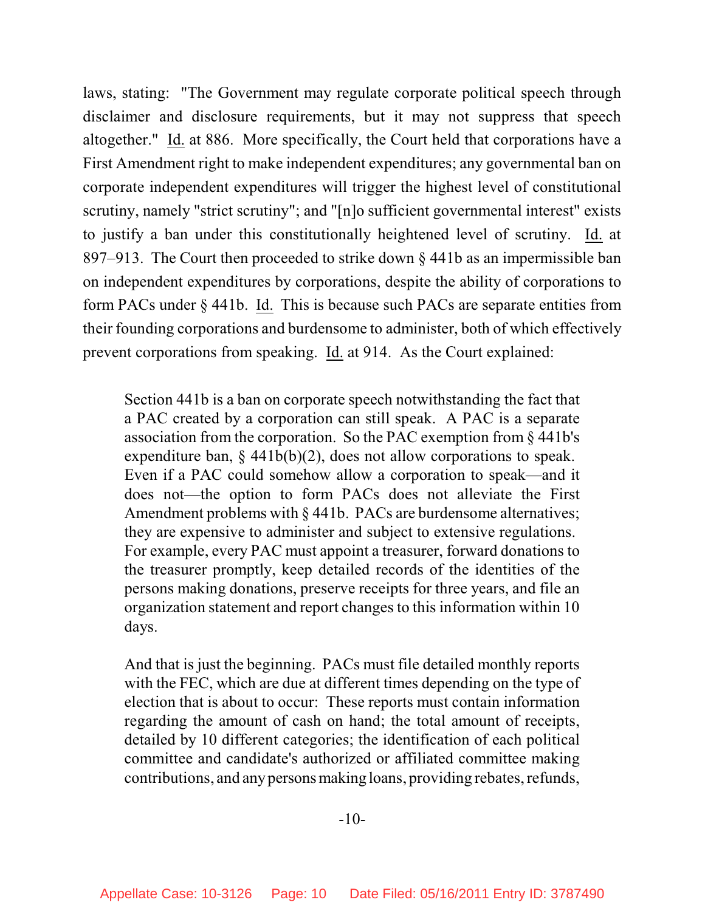laws, stating: "The Government may regulate corporate political speech through disclaimer and disclosure requirements, but it may not suppress that speech altogether." Id. at 886. More specifically, the Court held that corporations have a First Amendment right to make independent expenditures; any governmental ban on corporate independent expenditures will trigger the highest level of constitutional scrutiny, namely "strict scrutiny"; and "[n]o sufficient governmental interest" exists to justify a ban under this constitutionally heightened level of scrutiny. Id. at 897–913. The Court then proceeded to strike down § 441b as an impermissible ban on independent expenditures by corporations, despite the ability of corporations to form PACs under § 441b. Id. This is because such PACs are separate entities from their founding corporations and burdensome to administer, both of which effectively prevent corporations from speaking. Id. at 914. As the Court explained:

Section 441b is a ban on corporate speech notwithstanding the fact that a PAC created by a corporation can still speak. A PAC is a separate association from the corporation. So the PAC exemption from § 441b's expenditure ban,  $\S$  441b(b)(2), does not allow corporations to speak. Even if a PAC could somehow allow a corporation to speak—and it does not—the option to form PACs does not alleviate the First Amendment problems with § 441b. PACs are burdensome alternatives; they are expensive to administer and subject to extensive regulations. For example, every PAC must appoint a treasurer, forward donations to the treasurer promptly, keep detailed records of the identities of the persons making donations, preserve receipts for three years, and file an organization statement and report changes to this information within 10 days.

And that is just the beginning. PACs must file detailed monthly reports with the FEC, which are due at different times depending on the type of election that is about to occur: These reports must contain information regarding the amount of cash on hand; the total amount of receipts, detailed by 10 different categories; the identification of each political committee and candidate's authorized or affiliated committee making contributions, and any persons making loans, providing rebates, refunds,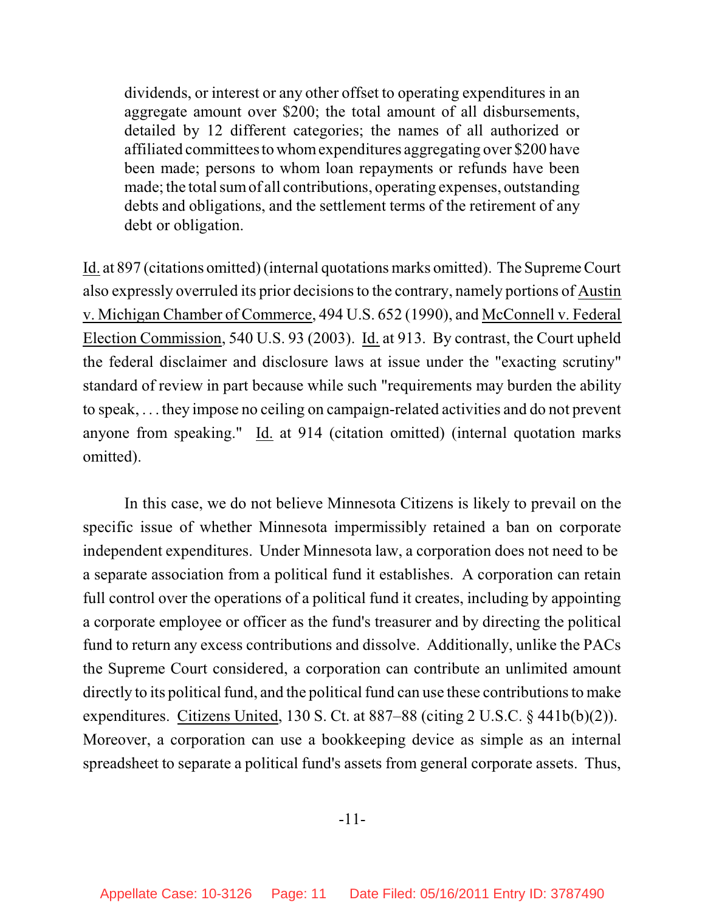dividends, or interest or any other offset to operating expenditures in an aggregate amount over \$200; the total amount of all disbursements, detailed by 12 different categories; the names of all authorized or affiliated committeesto whomexpenditures aggregating over \$200 have been made; persons to whom loan repayments or refunds have been made; the total sumof all contributions, operating expenses, outstanding debts and obligations, and the settlement terms of the retirement of any debt or obligation.

Id. at 897 (citations omitted)(internal quotations marks omitted). The Supreme Court also expressly overruled its prior decisions to the contrary, namely portions of Austin v. Michigan Chamber of Commerce, 494 U.S. 652 (1990), and McConnell v. Federal Election Commission, 540 U.S. 93 (2003). Id. at 913. By contrast, the Court upheld the federal disclaimer and disclosure laws at issue under the "exacting scrutiny" standard of review in part because while such "requirements may burden the ability to speak, . . . they impose no ceiling on campaign-related activities and do not prevent anyone from speaking." Id. at 914 (citation omitted) (internal quotation marks omitted).

In this case, we do not believe Minnesota Citizens is likely to prevail on the specific issue of whether Minnesota impermissibly retained a ban on corporate independent expenditures. Under Minnesota law, a corporation does not need to be a separate association from a political fund it establishes. A corporation can retain full control over the operations of a political fund it creates, including by appointing a corporate employee or officer as the fund's treasurer and by directing the political fund to return any excess contributions and dissolve. Additionally, unlike the PACs the Supreme Court considered, a corporation can contribute an unlimited amount directly to its political fund, and the political fund can use these contributions to make expenditures. Citizens United, 130 S. Ct. at 887–88 (citing 2 U.S.C. § 441b(b)(2)). Moreover, a corporation can use a bookkeeping device as simple as an internal spreadsheet to separate a political fund's assets from general corporate assets. Thus,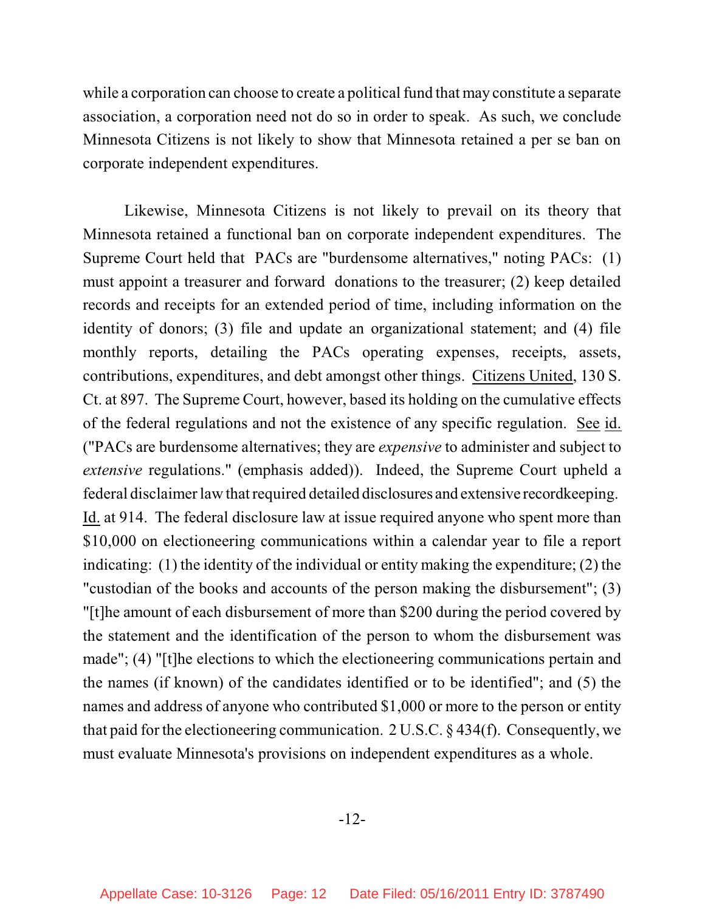while a corporation can choose to create a political fund that may constitute a separate association, a corporation need not do so in order to speak. As such, we conclude Minnesota Citizens is not likely to show that Minnesota retained a per se ban on corporate independent expenditures.

Likewise, Minnesota Citizens is not likely to prevail on its theory that Minnesota retained a functional ban on corporate independent expenditures. The Supreme Court held that PACs are "burdensome alternatives," noting PACs: (1) must appoint a treasurer and forward donations to the treasurer; (2) keep detailed records and receipts for an extended period of time, including information on the identity of donors; (3) file and update an organizational statement; and (4) file monthly reports, detailing the PACs operating expenses, receipts, assets, contributions, expenditures, and debt amongst other things. Citizens United, 130 S. Ct. at 897. The Supreme Court, however, based its holding on the cumulative effects of the federal regulations and not the existence of any specific regulation. See id. ("PACs are burdensome alternatives; they are *expensive* to administer and subject to *extensive* regulations." (emphasis added)). Indeed, the Supreme Court upheld a federal disclaimer law that required detailed disclosures and extensive record keeping. Id. at 914. The federal disclosure law at issue required anyone who spent more than \$10,000 on electioneering communications within a calendar year to file a report indicating: (1) the identity of the individual or entity making the expenditure; (2) the "custodian of the books and accounts of the person making the disbursement"; (3) "[t]he amount of each disbursement of more than \$200 during the period covered by the statement and the identification of the person to whom the disbursement was made"; (4) "[t]he elections to which the electioneering communications pertain and the names (if known) of the candidates identified or to be identified"; and (5) the names and address of anyone who contributed \$1,000 or more to the person or entity that paid for the electioneering communication. 2 U.S.C. § 434(f). Consequently, we must evaluate Minnesota's provisions on independent expenditures as a whole.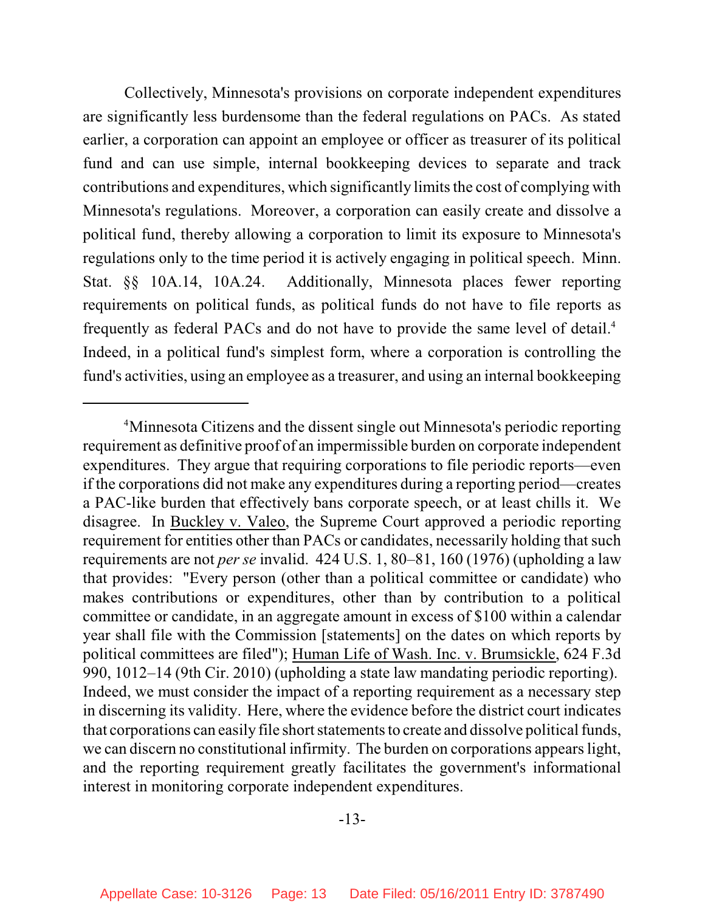Collectively, Minnesota's provisions on corporate independent expenditures are significantly less burdensome than the federal regulations on PACs. As stated earlier, a corporation can appoint an employee or officer as treasurer of its political fund and can use simple, internal bookkeeping devices to separate and track contributions and expenditures, which significantly limits the cost of complying with Minnesota's regulations. Moreover, a corporation can easily create and dissolve a political fund, thereby allowing a corporation to limit its exposure to Minnesota's regulations only to the time period it is actively engaging in political speech. Minn. Stat. §§ 10A.14, 10A.24. Additionally, Minnesota places fewer reporting requirements on political funds, as political funds do not have to file reports as frequently as federal PACs and do not have to provide the same level of detail. 4 Indeed, in a political fund's simplest form, where a corporation is controlling the fund's activities, using an employee as a treasurer, and using an internal bookkeeping

<sup>&</sup>lt;sup>4</sup>Minnesota Citizens and the dissent single out Minnesota's periodic reporting requirement as definitive proof of an impermissible burden on corporate independent expenditures. They argue that requiring corporations to file periodic reports—even if the corporations did not make any expenditures during a reporting period—creates a PAC-like burden that effectively bans corporate speech, or at least chills it. We disagree. In Buckley v. Valeo, the Supreme Court approved a periodic reporting requirement for entities other than PACs or candidates, necessarily holding that such requirements are not *per se* invalid. 424 U.S. 1, 80–81, 160 (1976) (upholding a law that provides: "Every person (other than a political committee or candidate) who makes contributions or expenditures, other than by contribution to a political committee or candidate, in an aggregate amount in excess of \$100 within a calendar year shall file with the Commission [statements] on the dates on which reports by political committees are filed"); Human Life of Wash. Inc. v. Brumsickle, 624 F.3d 990, 1012–14 (9th Cir. 2010) (upholding a state law mandating periodic reporting). Indeed, we must consider the impact of a reporting requirement as a necessary step in discerning its validity. Here, where the evidence before the district court indicates that corporations can easily file short statements to create and dissolve political funds, we can discern no constitutional infirmity. The burden on corporations appears light, and the reporting requirement greatly facilitates the government's informational interest in monitoring corporate independent expenditures.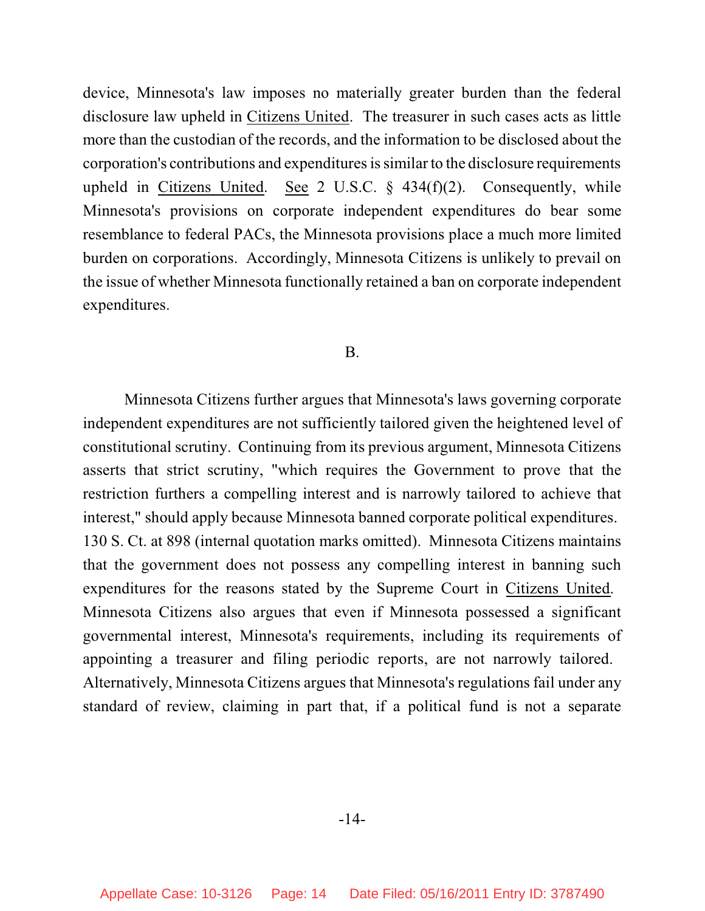device, Minnesota's law imposes no materially greater burden than the federal disclosure law upheld in Citizens United. The treasurer in such cases acts as little more than the custodian of the records, and the information to be disclosed about the corporation's contributions and expenditures is similar to the disclosure requirements upheld in Citizens United. See 2 U.S.C.  $\S$  434(f)(2). Consequently, while Minnesota's provisions on corporate independent expenditures do bear some resemblance to federal PACs, the Minnesota provisions place a much more limited burden on corporations. Accordingly, Minnesota Citizens is unlikely to prevail on the issue of whether Minnesota functionally retained a ban on corporate independent expenditures.

#### B.

Minnesota Citizens further argues that Minnesota's laws governing corporate independent expenditures are not sufficiently tailored given the heightened level of constitutional scrutiny. Continuing from its previous argument, Minnesota Citizens asserts that strict scrutiny, "which requires the Government to prove that the restriction furthers a compelling interest and is narrowly tailored to achieve that interest," should apply because Minnesota banned corporate political expenditures. 130 S. Ct. at 898 (internal quotation marks omitted). Minnesota Citizens maintains that the government does not possess any compelling interest in banning such expenditures for the reasons stated by the Supreme Court in Citizens United. Minnesota Citizens also argues that even if Minnesota possessed a significant governmental interest, Minnesota's requirements, including its requirements of appointing a treasurer and filing periodic reports, are not narrowly tailored. Alternatively, Minnesota Citizens argues that Minnesota's regulations fail under any standard of review, claiming in part that, if a political fund is not a separate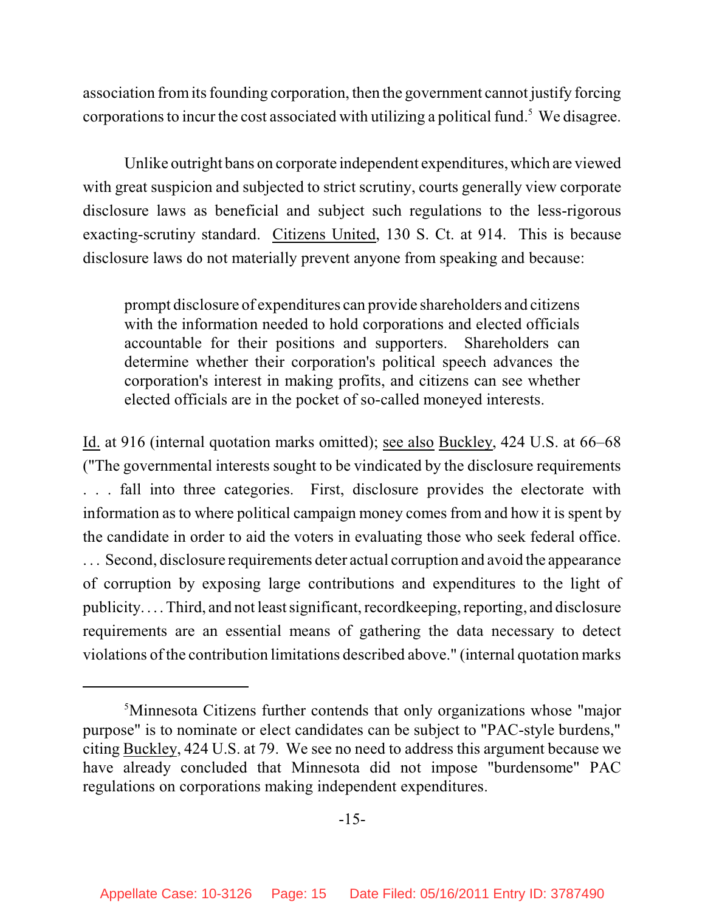association fromits founding corporation, then the government cannot justify forcing corporations to incur the cost associated with utilizing a political fund.<sup>5</sup> We disagree.

Unlike outright bans on corporate independent expenditures, which are viewed with great suspicion and subjected to strict scrutiny, courts generally view corporate disclosure laws as beneficial and subject such regulations to the less-rigorous exacting-scrutiny standard. Citizens United, 130 S. Ct. at 914. This is because disclosure laws do not materially prevent anyone from speaking and because:

prompt disclosure of expenditures can provide shareholders and citizens with the information needed to hold corporations and elected officials accountable for their positions and supporters. Shareholders can determine whether their corporation's political speech advances the corporation's interest in making profits, and citizens can see whether elected officials are in the pocket of so-called moneyed interests.

Id. at 916 (internal quotation marks omitted); see also Buckley, 424 U.S. at 66–68 ("The governmental interests sought to be vindicated by the disclosure requirements . . . fall into three categories. First, disclosure provides the electorate with information as to where political campaign money comes from and how it is spent by the candidate in order to aid the voters in evaluating those who seek federal office. . . . Second, disclosure requirements deter actual corruption and avoid the appearance of corruption by exposing large contributions and expenditures to the light of publicity. . . . Third, and not least significant, recordkeeping, reporting, and disclosure requirements are an essential means of gathering the data necessary to detect violations of the contribution limitations described above." (internal quotation marks

<sup>&</sup>lt;sup>5</sup>Minnesota Citizens further contends that only organizations whose "major purpose" is to nominate or elect candidates can be subject to "PAC-style burdens," citing Buckley, 424 U.S. at 79. We see no need to address this argument because we have already concluded that Minnesota did not impose "burdensome" PAC regulations on corporations making independent expenditures.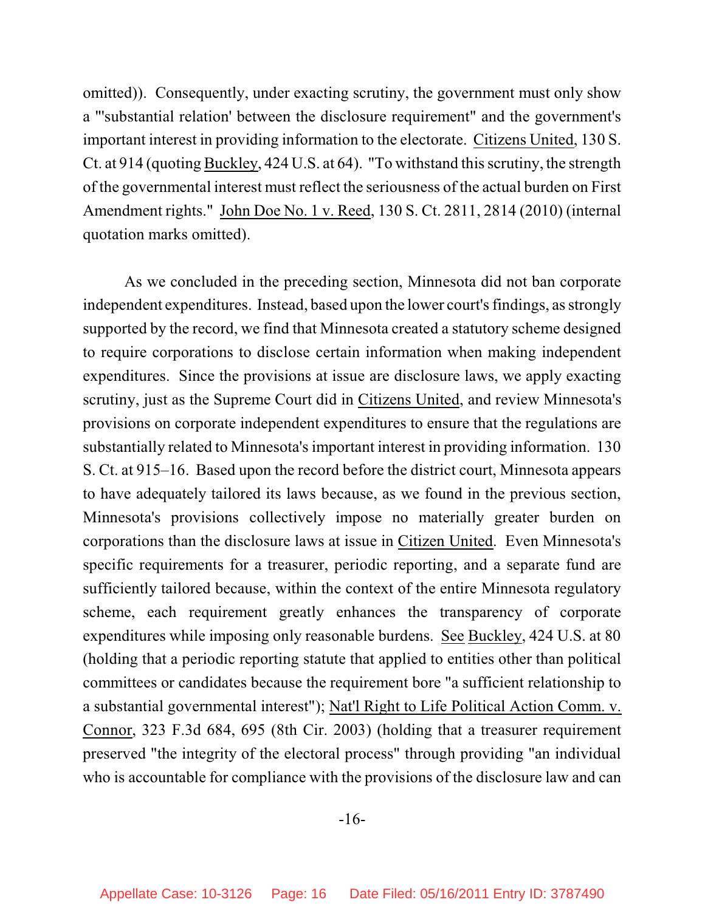omitted)). Consequently, under exacting scrutiny, the government must only show a "'substantial relation' between the disclosure requirement" and the government's important interest in providing information to the electorate. Citizens United, 130 S. Ct. at 914 (quoting Buckley, 424 U.S. at 64). "To withstand this scrutiny, the strength of the governmental interest must reflect the seriousness of the actual burden on First Amendment rights." John Doe No. 1 v. Reed, 130 S. Ct. 2811, 2814 (2010) (internal quotation marks omitted).

As we concluded in the preceding section, Minnesota did not ban corporate independent expenditures. Instead, based upon the lower court's findings, as strongly supported by the record, we find that Minnesota created a statutory scheme designed to require corporations to disclose certain information when making independent expenditures. Since the provisions at issue are disclosure laws, we apply exacting scrutiny, just as the Supreme Court did in Citizens United, and review Minnesota's provisions on corporate independent expenditures to ensure that the regulations are substantially related to Minnesota's important interest in providing information. 130 S. Ct. at 915–16. Based upon the record before the district court, Minnesota appears to have adequately tailored its laws because, as we found in the previous section, Minnesota's provisions collectively impose no materially greater burden on corporations than the disclosure laws at issue in Citizen United. Even Minnesota's specific requirements for a treasurer, periodic reporting, and a separate fund are sufficiently tailored because, within the context of the entire Minnesota regulatory scheme, each requirement greatly enhances the transparency of corporate expenditures while imposing only reasonable burdens. See Buckley, 424 U.S. at 80 (holding that a periodic reporting statute that applied to entities other than political committees or candidates because the requirement bore "a sufficient relationship to a substantial governmental interest"); Nat'l Right to Life Political Action Comm. v. Connor, 323 F.3d 684, 695 (8th Cir. 2003) (holding that a treasurer requirement preserved "the integrity of the electoral process" through providing "an individual who is accountable for compliance with the provisions of the disclosure law and can

-16-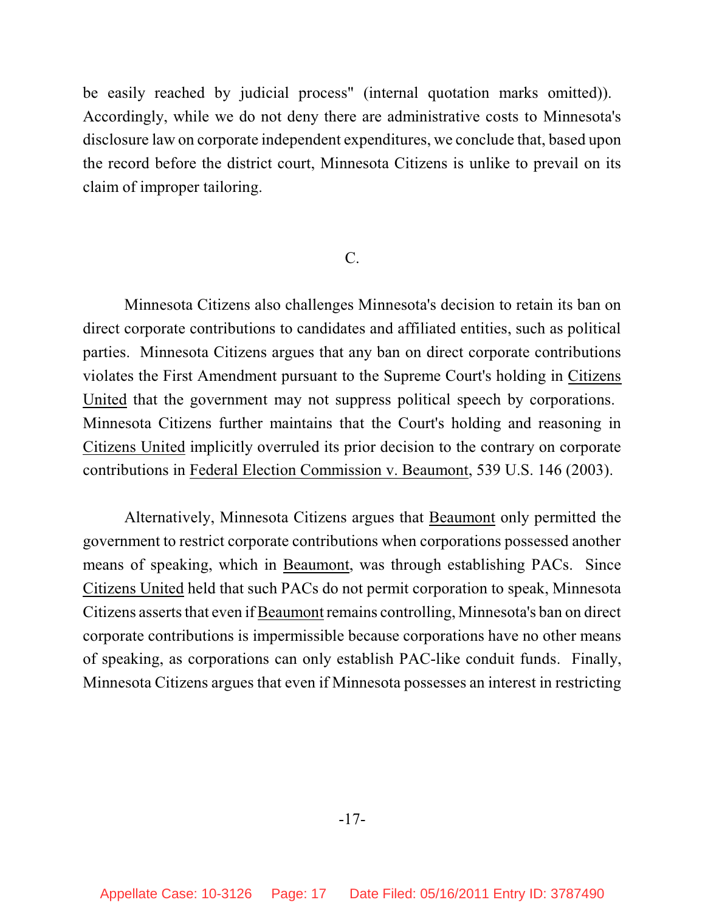be easily reached by judicial process" (internal quotation marks omitted)). Accordingly, while we do not deny there are administrative costs to Minnesota's disclosure law on corporate independent expenditures, we conclude that, based upon the record before the district court, Minnesota Citizens is unlike to prevail on its claim of improper tailoring.

#### C.

Minnesota Citizens also challenges Minnesota's decision to retain its ban on direct corporate contributions to candidates and affiliated entities, such as political parties. Minnesota Citizens argues that any ban on direct corporate contributions violates the First Amendment pursuant to the Supreme Court's holding in Citizens United that the government may not suppress political speech by corporations. Minnesota Citizens further maintains that the Court's holding and reasoning in Citizens United implicitly overruled its prior decision to the contrary on corporate contributions in Federal Election Commission v. Beaumont, 539 U.S. 146 (2003).

Alternatively, Minnesota Citizens argues that Beaumont only permitted the government to restrict corporate contributions when corporations possessed another means of speaking, which in Beaumont, was through establishing PACs. Since Citizens United held that such PACs do not permit corporation to speak, Minnesota Citizens asserts that even if Beaumont remains controlling, Minnesota's ban on direct corporate contributions is impermissible because corporations have no other means of speaking, as corporations can only establish PAC-like conduit funds. Finally, Minnesota Citizens argues that even if Minnesota possesses an interest in restricting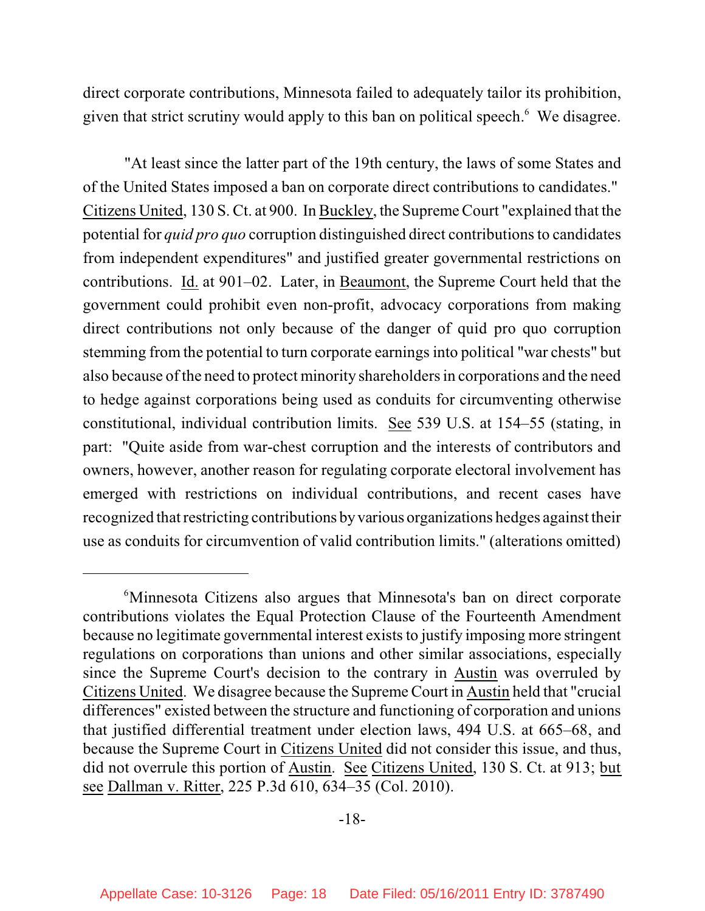direct corporate contributions, Minnesota failed to adequately tailor its prohibition, given that strict scrutiny would apply to this ban on political speech.<sup>6</sup> We disagree.

"At least since the latter part of the 19th century, the laws of some States and of the United States imposed a ban on corporate direct contributions to candidates." Citizens United, 130 S. Ct. at 900. In Buckley, the Supreme Court "explained that the potential for *quid pro quo* corruption distinguished direct contributionsto candidates from independent expenditures" and justified greater governmental restrictions on contributions. Id. at 901–02. Later, in Beaumont, the Supreme Court held that the government could prohibit even non-profit, advocacy corporations from making direct contributions not only because of the danger of quid pro quo corruption stemming from the potential to turn corporate earningsinto political "war chests" but also because of the need to protect minority shareholdersin corporations and the need to hedge against corporations being used as conduits for circumventing otherwise constitutional, individual contribution limits. See 539 U.S. at 154–55 (stating, in part: "Quite aside from war-chest corruption and the interests of contributors and owners, however, another reason for regulating corporate electoral involvement has emerged with restrictions on individual contributions, and recent cases have recognized that restricting contributions by various organizations hedges against their use as conduits for circumvention of valid contribution limits." (alterations omitted)

<sup>&</sup>lt;sup>6</sup>Minnesota Citizens also argues that Minnesota's ban on direct corporate contributions violates the Equal Protection Clause of the Fourteenth Amendment because no legitimate governmental interest exists to justify imposing more stringent regulations on corporations than unions and other similar associations, especially since the Supreme Court's decision to the contrary in Austin was overruled by Citizens United. We disagree because the Supreme Court in Austin held that "crucial differences" existed between the structure and functioning of corporation and unions that justified differential treatment under election laws, 494 U.S. at 665–68, and because the Supreme Court in Citizens United did not consider this issue, and thus, did not overrule this portion of Austin. See Citizens United, 130 S. Ct. at 913; but see Dallman v. Ritter, 225 P.3d 610, 634–35 (Col. 2010).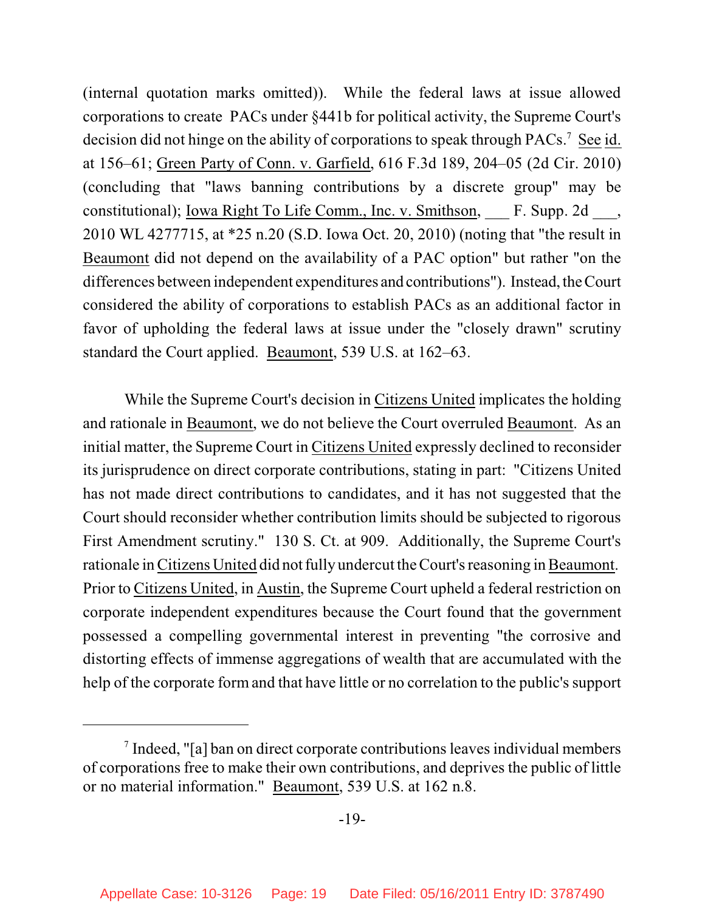(internal quotation marks omitted)). While the federal laws at issue allowed corporations to create PACs under §441b for political activity, the Supreme Court's decision did not hinge on the ability of corporations to speak through PACs.<sup>7</sup> See id. at 156–61; Green Party of Conn. v. Garfield, 616 F.3d 189, 204–05 (2d Cir. 2010) (concluding that "laws banning contributions by a discrete group" may be constitutional); <u>Iowa Right To Life Comm., Inc. v. Smithson</u>, F. Supp. 2d, 2010 WL 4277715, at \*25 n.20 (S.D. Iowa Oct. 20, 2010) (noting that "the result in Beaumont did not depend on the availability of a PAC option" but rather "on the differences between independent expenditures and contributions"). Instead, the Court considered the ability of corporations to establish PACs as an additional factor in favor of upholding the federal laws at issue under the "closely drawn" scrutiny standard the Court applied. Beaumont, 539 U.S. at 162–63.

While the Supreme Court's decision in Citizens United implicates the holding and rationale in Beaumont, we do not believe the Court overruled Beaumont. As an initial matter, the Supreme Court in Citizens United expressly declined to reconsider its jurisprudence on direct corporate contributions, stating in part: "Citizens United has not made direct contributions to candidates, and it has not suggested that the Court should reconsider whether contribution limits should be subjected to rigorous First Amendment scrutiny." 130 S. Ct. at 909. Additionally, the Supreme Court's rationale in Citizens United did not fully undercut the Court's reasoning in Beaumont. Prior to Citizens United, in Austin, the Supreme Court upheld a federal restriction on corporate independent expenditures because the Court found that the government possessed a compelling governmental interest in preventing "the corrosive and distorting effects of immense aggregations of wealth that are accumulated with the help of the corporate form and that have little or no correlation to the public's support

 $\alpha$  Indeed, "[a] ban on direct corporate contributions leaves individual members of corporations free to make their own contributions, and deprives the public of little or no material information." Beaumont, 539 U.S. at 162 n.8.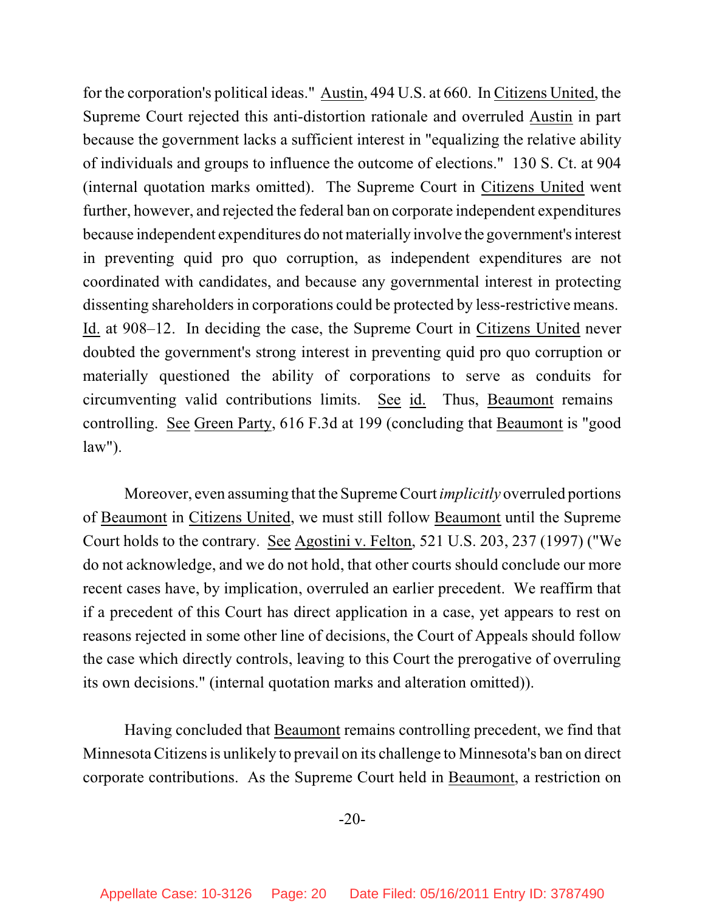for the corporation's political ideas." Austin, 494 U.S. at 660. In Citizens United, the Supreme Court rejected this anti-distortion rationale and overruled Austin in part because the government lacks a sufficient interest in "equalizing the relative ability of individuals and groups to influence the outcome of elections." 130 S. Ct. at 904 (internal quotation marks omitted). The Supreme Court in Citizens United went further, however, and rejected the federal ban on corporate independent expenditures because independent expenditures do not materially involve the government's interest in preventing quid pro quo corruption, as independent expenditures are not coordinated with candidates, and because any governmental interest in protecting dissenting shareholders in corporations could be protected by less-restrictive means. Id. at 908–12. In deciding the case, the Supreme Court in Citizens United never doubted the government's strong interest in preventing quid pro quo corruption or materially questioned the ability of corporations to serve as conduits for circumventing valid contributions limits. See id. Thus, Beaumont remains controlling. See Green Party, 616 F.3d at 199 (concluding that Beaumont is "good law").

Moreover, even assuming that the Supreme Court *implicitly* overruled portions of Beaumont in Citizens United, we must still follow Beaumont until the Supreme Court holds to the contrary. See Agostini v. Felton, 521 U.S. 203, 237 (1997) ("We do not acknowledge, and we do not hold, that other courts should conclude our more recent cases have, by implication, overruled an earlier precedent. We reaffirm that if a precedent of this Court has direct application in a case, yet appears to rest on reasons rejected in some other line of decisions, the Court of Appeals should follow the case which directly controls, leaving to this Court the prerogative of overruling its own decisions." (internal quotation marks and alteration omitted)).

Having concluded that Beaumont remains controlling precedent, we find that Minnesota Citizens is unlikely to prevail on its challenge to Minnesota's ban on direct corporate contributions. As the Supreme Court held in Beaumont, a restriction on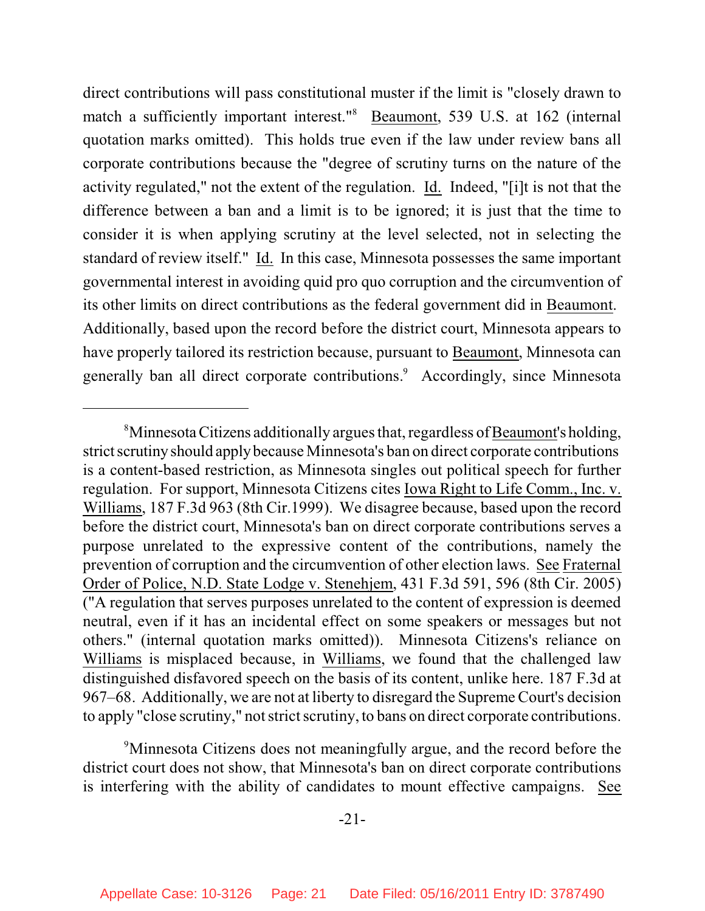direct contributions will pass constitutional muster if the limit is "closely drawn to match a sufficiently important interest."<sup>8</sup> Beaumont, 539 U.S. at 162 (internal quotation marks omitted). This holds true even if the law under review bans all corporate contributions because the "degree of scrutiny turns on the nature of the activity regulated," not the extent of the regulation. Id. Indeed, "[i]t is not that the difference between a ban and a limit is to be ignored; it is just that the time to consider it is when applying scrutiny at the level selected, not in selecting the standard of review itself." Id. In this case, Minnesota possesses the same important governmental interest in avoiding quid pro quo corruption and the circumvention of its other limits on direct contributions as the federal government did in Beaumont. Additionally, based upon the record before the district court, Minnesota appears to have properly tailored its restriction because, pursuant to Beaumont, Minnesota can generally ban all direct corporate contributions.<sup>9</sup> Accordingly, since Minnesota

<sup>9</sup>Minnesota Citizens does not meaningfully argue, and the record before the district court does not show, that Minnesota's ban on direct corporate contributions is interfering with the ability of candidates to mount effective campaigns. See

<sup>&</sup>lt;sup>8</sup>Minnesota Citizens additionally argues that, regardless of Beaumont's holding, strict scrutiny should applybecause Minnesota's ban on direct corporate contributions is a content-based restriction, as Minnesota singles out political speech for further regulation. For support, Minnesota Citizens cites Iowa Right to Life Comm., Inc. v. Williams, 187 F.3d 963 (8th Cir.1999). We disagree because, based upon the record before the district court, Minnesota's ban on direct corporate contributions serves a purpose unrelated to the expressive content of the contributions, namely the prevention of corruption and the circumvention of other election laws. See Fraternal Order of Police, N.D. State Lodge v. Stenehjem, 431 F.3d 591, 596 (8th Cir. 2005) ("A regulation that serves purposes unrelated to the content of expression is deemed neutral, even if it has an incidental effect on some speakers or messages but not others." (internal quotation marks omitted)). Minnesota Citizens's reliance on Williams is misplaced because, in Williams, we found that the challenged law distinguished disfavored speech on the basis of its content, unlike here. 187 F.3d at 967–68. Additionally, we are not at liberty to disregard the Supreme Court's decision to apply "close scrutiny," not strict scrutiny, to bans on direct corporate contributions.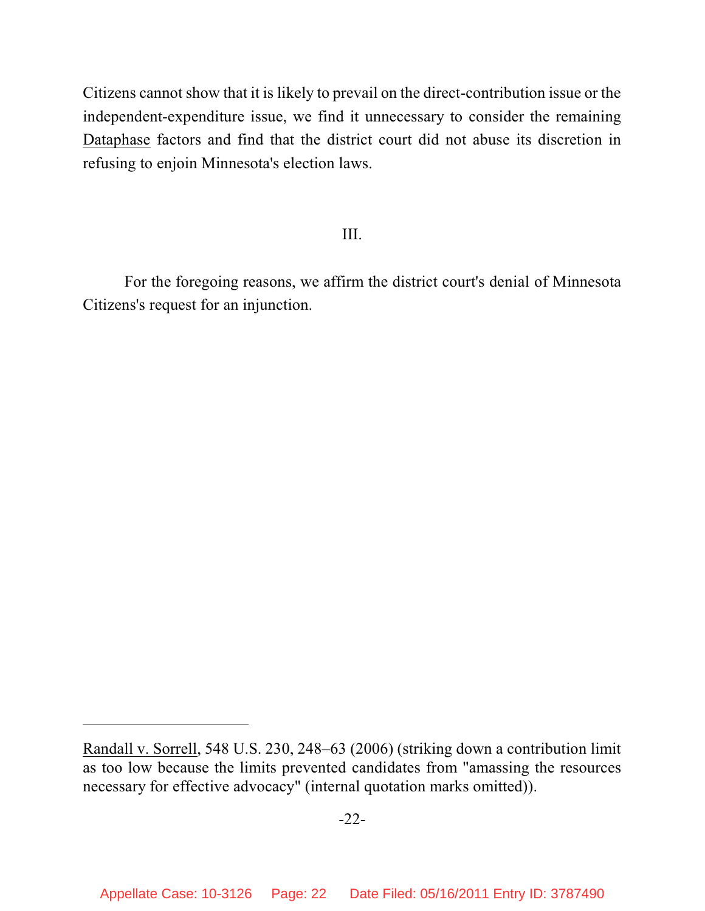Citizens cannot show that it is likely to prevail on the direct-contribution issue or the independent-expenditure issue, we find it unnecessary to consider the remaining Dataphase factors and find that the district court did not abuse its discretion in refusing to enjoin Minnesota's election laws.

# III.

For the foregoing reasons, we affirm the district court's denial of Minnesota Citizens's request for an injunction.

Randall v. Sorrell, 548 U.S. 230, 248–63 (2006) (striking down a contribution limit as too low because the limits prevented candidates from "amassing the resources necessary for effective advocacy" (internal quotation marks omitted)).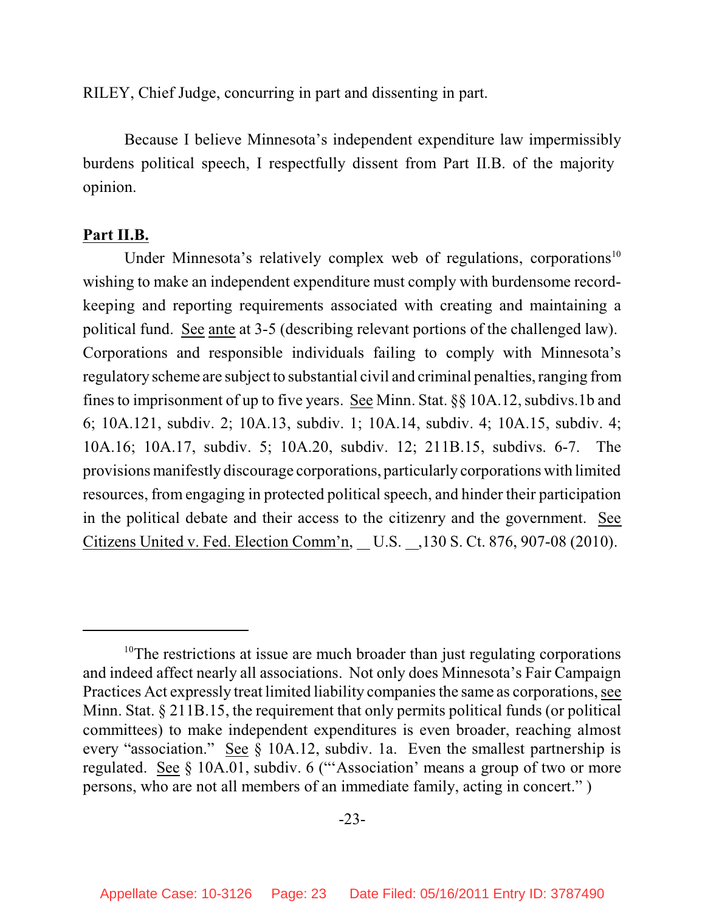RILEY, Chief Judge, concurring in part and dissenting in part.

Because I believe Minnesota's independent expenditure law impermissibly burdens political speech, I respectfully dissent from Part II.B. of the majority opinion.

### **Part II.B.**

Under Minnesota's relatively complex web of regulations, corporations<sup>10</sup> wishing to make an independent expenditure must comply with burdensome recordkeeping and reporting requirements associated with creating and maintaining a political fund. See ante at 3-5 (describing relevant portions of the challenged law). Corporations and responsible individuals failing to comply with Minnesota's regulatory scheme are subject to substantial civil and criminal penalties, ranging from finesto imprisonment of up to five years. See Minn. Stat. §§ 10A.12, subdivs.1b and 6; 10A.121, subdiv. 2; 10A.13, subdiv. 1; 10A.14, subdiv. 4; 10A.15, subdiv. 4; 10A.16; 10A.17, subdiv. 5; 10A.20, subdiv. 12; 211B.15, subdivs. 6-7. The provisions manifestly discourage corporations, particularly corporations with limited resources, from engaging in protected political speech, and hinder their participation in the political debate and their access to the citizenry and the government. See Citizens United v. Fed. Election Comm'n, U.S. 130 S. Ct. 876, 907-08 (2010).

 $10$ <sup>10</sup>The restrictions at issue are much broader than just regulating corporations and indeed affect nearly all associations. Not only does Minnesota's Fair Campaign Practices Act expressly treat limited liability companiesthe same as corporations, see Minn. Stat. § 211B.15, the requirement that only permits political funds (or political committees) to make independent expenditures is even broader, reaching almost every "association." See § 10A.12, subdiv. 1a. Even the smallest partnership is regulated. See § 10A.01, subdiv. 6 ("'Association' means a group of two or more persons, who are not all members of an immediate family, acting in concert." )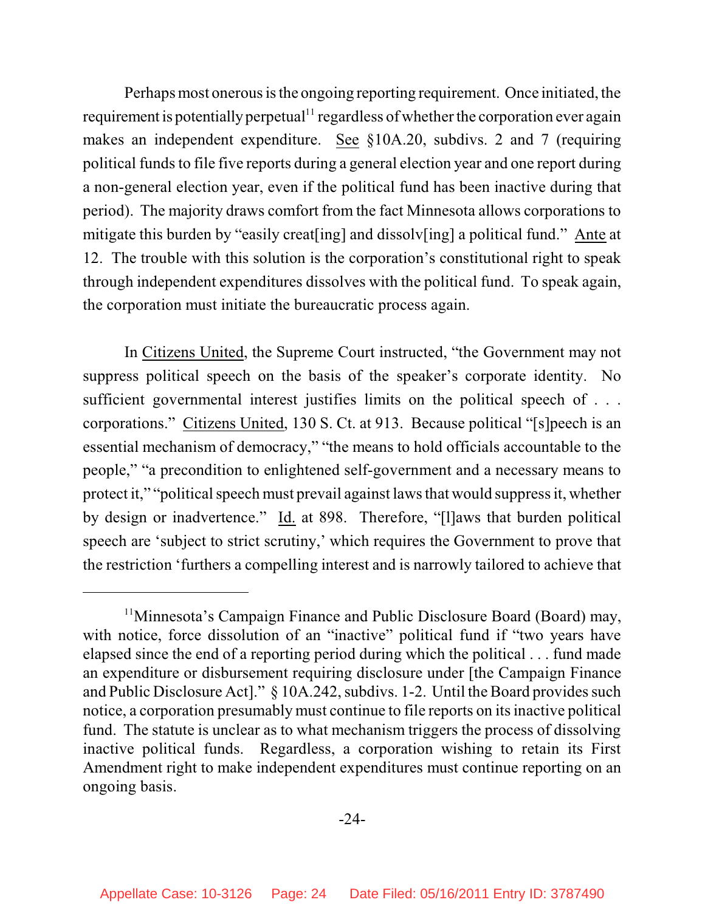Perhaps most onerous is the ongoing reporting requirement. Once initiated, the requirement is potentially perpetual $11$  regardless of whether the corporation ever again makes an independent expenditure. See §10A.20, subdivs. 2 and 7 (requiring political funds to file five reports during a general election year and one report during a non-general election year, even if the political fund has been inactive during that period). The majority draws comfort from the fact Minnesota allows corporations to mitigate this burden by "easily creat[ing] and dissolv[ing] a political fund." Ante at 12. The trouble with this solution is the corporation's constitutional right to speak through independent expenditures dissolves with the political fund. To speak again, the corporation must initiate the bureaucratic process again.

In Citizens United, the Supreme Court instructed, "the Government may not suppress political speech on the basis of the speaker's corporate identity. No sufficient governmental interest justifies limits on the political speech of . . . corporations." Citizens United, 130 S. Ct. at 913. Because political "[s]peech is an essential mechanism of democracy," "the means to hold officials accountable to the people," "a precondition to enlightened self-government and a necessary means to protect it," "political speech must prevail against laws that would suppress it, whether by design or inadvertence." Id. at 898. Therefore, "[l]aws that burden political speech are 'subject to strict scrutiny,' which requires the Government to prove that the restriction 'furthers a compelling interest and is narrowly tailored to achieve that

<sup>&</sup>lt;sup>11</sup>Minnesota's Campaign Finance and Public Disclosure Board (Board) may, with notice, force dissolution of an "inactive" political fund if "two years have elapsed since the end of a reporting period during which the political . . . fund made an expenditure or disbursement requiring disclosure under [the Campaign Finance and Public Disclosure Act]."  $\S$  10A.242, subdivs. 1-2. Until the Board provides such notice, a corporation presumably must continue to file reports on its inactive political fund. The statute is unclear as to what mechanism triggers the process of dissolving inactive political funds. Regardless, a corporation wishing to retain its First Amendment right to make independent expenditures must continue reporting on an ongoing basis.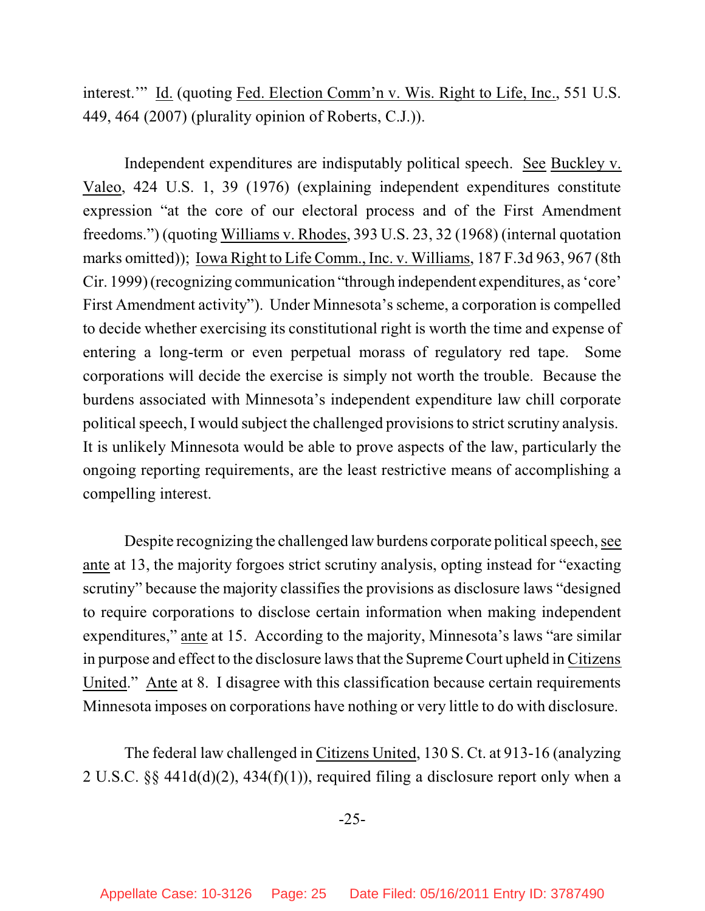interest.'" Id. (quoting Fed. Election Comm'n v. Wis. Right to Life, Inc., 551 U.S. 449, 464 (2007) (plurality opinion of Roberts, C.J.)).

Independent expenditures are indisputably political speech. See Buckley v. Valeo, 424 U.S. 1, 39 (1976) (explaining independent expenditures constitute expression "at the core of our electoral process and of the First Amendment freedoms.") (quoting Williams v. Rhodes, 393 U.S. 23, 32 (1968) (internal quotation marks omitted)); Iowa Right to Life Comm., Inc. v. Williams, 187 F.3d 963, 967 (8th Cir. 1999) (recognizing communication "through independent expenditures, as'core' First Amendment activity"). Under Minnesota's scheme, a corporation is compelled to decide whether exercising its constitutional right is worth the time and expense of entering a long-term or even perpetual morass of regulatory red tape. Some corporations will decide the exercise is simply not worth the trouble. Because the burdens associated with Minnesota's independent expenditure law chill corporate political speech, I would subject the challenged provisions to strict scrutiny analysis. It is unlikely Minnesota would be able to prove aspects of the law, particularly the ongoing reporting requirements, are the least restrictive means of accomplishing a compelling interest.

Despite recognizing the challenged law burdens corporate political speech, see ante at 13, the majority forgoes strict scrutiny analysis, opting instead for "exacting scrutiny" because the majority classifies the provisions as disclosure laws "designed to require corporations to disclose certain information when making independent expenditures," ante at 15. According to the majority, Minnesota's laws "are similar in purpose and effect to the disclosure laws that the Supreme Court upheld in Citizens United." Ante at 8. I disagree with this classification because certain requirements Minnesota imposes on corporations have nothing or very little to do with disclosure.

The federal law challenged in Citizens United, 130 S. Ct. at 913-16 (analyzing 2 U.S.C. §§ 441d(d)(2), 434(f)(1)), required filing a disclosure report only when a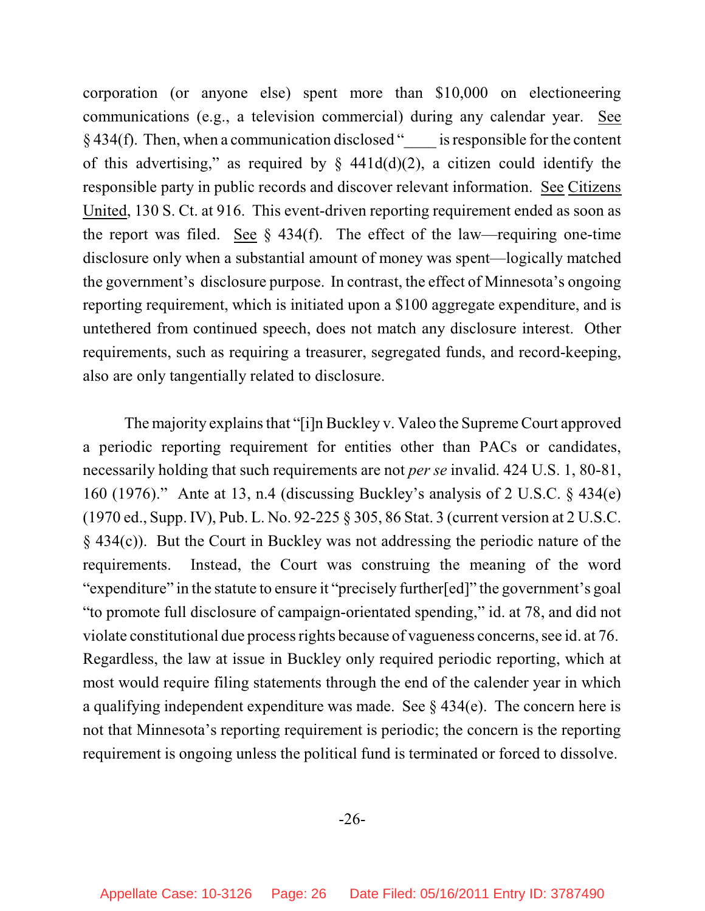corporation (or anyone else) spent more than \$10,000 on electioneering communications (e.g., a television commercial) during any calendar year. See  $§$  434(f). Then, when a communication disclosed " is responsible for the content of this advertising," as required by  $\S$  441d(d)(2), a citizen could identify the responsible party in public records and discover relevant information. See Citizens United, 130 S. Ct. at 916. This event-driven reporting requirement ended as soon as the report was filed. See  $\S$  434(f). The effect of the law—requiring one-time disclosure only when a substantial amount of money was spent—logically matched the government's disclosure purpose. In contrast, the effect of Minnesota's ongoing reporting requirement, which is initiated upon a \$100 aggregate expenditure, and is untethered from continued speech, does not match any disclosure interest. Other requirements, such as requiring a treasurer, segregated funds, and record-keeping, also are only tangentially related to disclosure.

The majority explains that "[i]n Buckley v. Valeo the Supreme Court approved a periodic reporting requirement for entities other than PACs or candidates, necessarily holding that such requirements are not *per se* invalid. 424 U.S. 1, 80-81, 160 (1976)." Ante at 13, n.4 (discussing Buckley's analysis of 2 U.S.C. § 434(e) (1970 ed., Supp. IV), Pub. L. No. 92-225 § 305, 86 Stat. 3 (current version at 2 U.S.C. § 434(c)). But the Court in Buckley was not addressing the periodic nature of the requirements. Instead, the Court was construing the meaning of the word "expenditure" in the statute to ensure it "precisely further[ed]" the government's goal "to promote full disclosure of campaign-orientated spending," id. at 78, and did not violate constitutional due process rights because of vagueness concerns, see id. at 76. Regardless, the law at issue in Buckley only required periodic reporting, which at most would require filing statements through the end of the calender year in which a qualifying independent expenditure was made. See § 434(e). The concern here is not that Minnesota's reporting requirement is periodic; the concern is the reporting requirement is ongoing unless the political fund is terminated or forced to dissolve.

-26-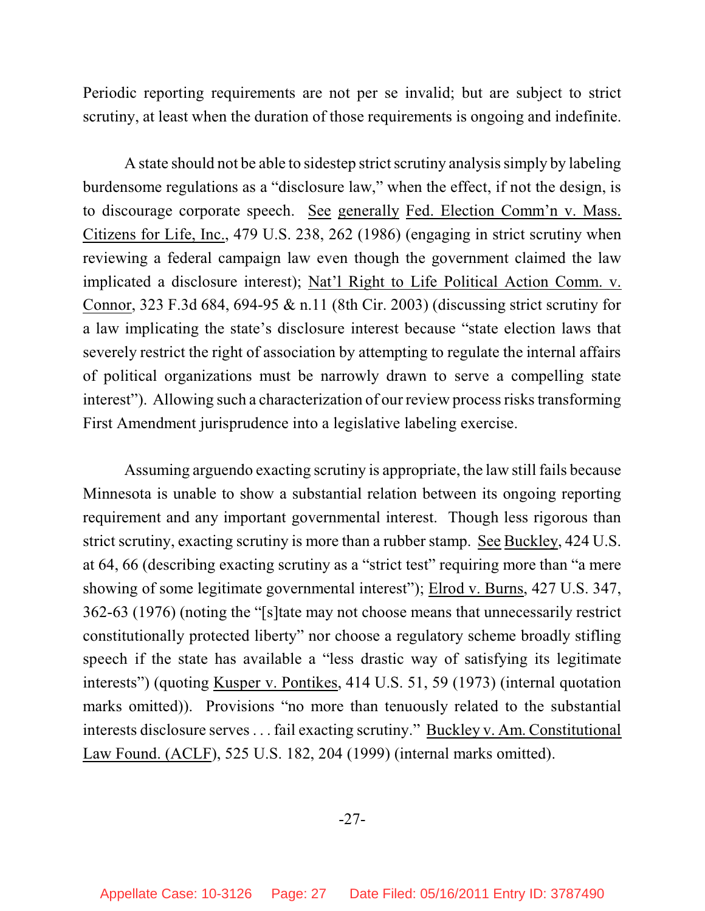Periodic reporting requirements are not per se invalid; but are subject to strict scrutiny, at least when the duration of those requirements is ongoing and indefinite.

A state should not be able to sidestep strict scrutiny analysis simply by labeling burdensome regulations as a "disclosure law," when the effect, if not the design, is to discourage corporate speech. See generally Fed. Election Comm'n v. Mass. Citizens for Life, Inc., 479 U.S. 238, 262 (1986) (engaging in strict scrutiny when reviewing a federal campaign law even though the government claimed the law implicated a disclosure interest); Nat'l Right to Life Political Action Comm. v. Connor, 323 F.3d 684, 694-95 & n.11 (8th Cir. 2003) (discussing strict scrutiny for a law implicating the state's disclosure interest because "state election laws that severely restrict the right of association by attempting to regulate the internal affairs of political organizations must be narrowly drawn to serve a compelling state interest"). Allowing such a characterization of our review process risks transforming First Amendment jurisprudence into a legislative labeling exercise.

Assuming arguendo exacting scrutiny is appropriate, the law still fails because Minnesota is unable to show a substantial relation between its ongoing reporting requirement and any important governmental interest. Though less rigorous than strict scrutiny, exacting scrutiny is more than a rubber stamp. See Buckley, 424 U.S. at 64, 66 (describing exacting scrutiny as a "strict test" requiring more than "a mere showing of some legitimate governmental interest"); Elrod v. Burns, 427 U.S. 347, 362-63 (1976) (noting the "[s]tate may not choose means that unnecessarily restrict constitutionally protected liberty" nor choose a regulatory scheme broadly stifling speech if the state has available a "less drastic way of satisfying its legitimate interests") (quoting Kusper v. Pontikes, 414 U.S. 51, 59 (1973) (internal quotation marks omitted)). Provisions "no more than tenuously related to the substantial interests disclosure serves . . . fail exacting scrutiny." Buckley v. Am. Constitutional Law Found. (ACLF), 525 U.S. 182, 204 (1999) (internal marks omitted).

-27-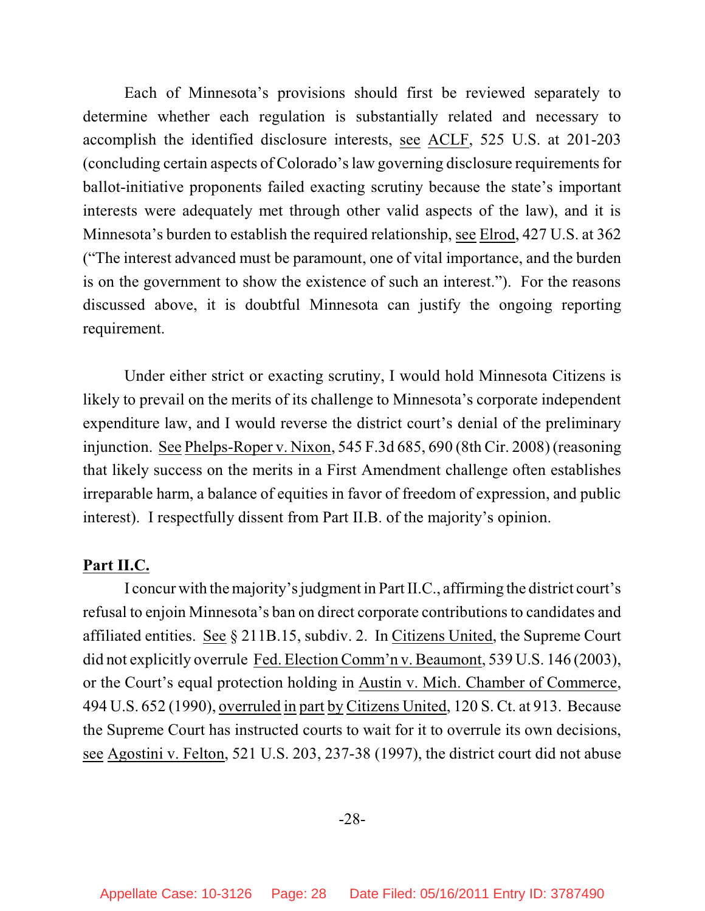Each of Minnesota's provisions should first be reviewed separately to determine whether each regulation is substantially related and necessary to accomplish the identified disclosure interests, see ACLF, 525 U.S. at 201-203 (concluding certain aspects of Colorado's law governing disclosure requirementsfor ballot-initiative proponents failed exacting scrutiny because the state's important interests were adequately met through other valid aspects of the law), and it is Minnesota's burden to establish the required relationship, see Elrod, 427 U.S. at 362 ("The interest advanced must be paramount, one of vital importance, and the burden is on the government to show the existence of such an interest."). For the reasons discussed above, it is doubtful Minnesota can justify the ongoing reporting requirement.

Under either strict or exacting scrutiny, I would hold Minnesota Citizens is likely to prevail on the merits of its challenge to Minnesota's corporate independent expenditure law, and I would reverse the district court's denial of the preliminary injunction. See Phelps-Roper v. Nixon, 545 F.3d 685, 690 (8th Cir. 2008) (reasoning that likely success on the merits in a First Amendment challenge often establishes irreparable harm, a balance of equities in favor of freedom of expression, and public interest). I respectfully dissent from Part II.B. of the majority's opinion.

# **Part II.C.**

I concur with the majority's judgment in PartII.C., affirming the district court's refusal to enjoin Minnesota's ban on direct corporate contributions to candidates and affiliated entities. See § 211B.15, subdiv. 2. In Citizens United, the Supreme Court did not explicitly overrule Fed. Election Comm'n v. Beaumont, 539 U.S. 146 (2003), or the Court's equal protection holding in Austin v. Mich. Chamber of Commerce, 494 U.S. 652 (1990), overruled in part by Citizens United, 120 S. Ct. at 913. Because the Supreme Court has instructed courts to wait for it to overrule its own decisions, see Agostini v. Felton, 521 U.S. 203, 237-38 (1997), the district court did not abuse

-28-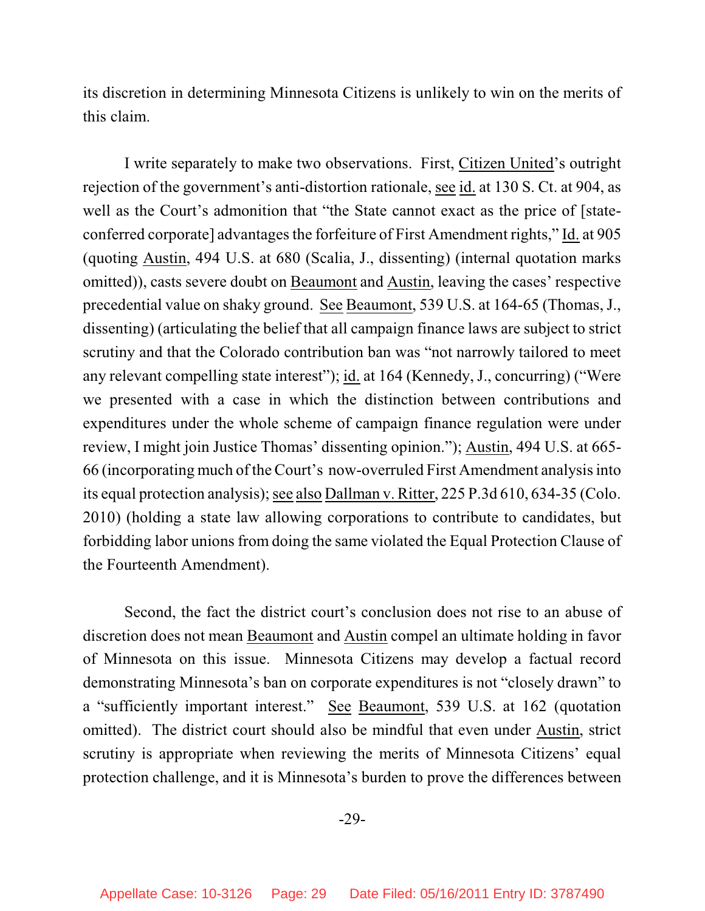its discretion in determining Minnesota Citizens is unlikely to win on the merits of this claim.

I write separately to make two observations. First, Citizen United's outright rejection of the government's anti-distortion rationale, see id. at 130 S. Ct. at 904, as well as the Court's admonition that "the State cannot exact as the price of [stateconferred corporate] advantages the forfeiture of First Amendment rights," Id. at 905 (quoting Austin, 494 U.S. at 680 (Scalia, J., dissenting) (internal quotation marks omitted)), casts severe doubt on Beaumont and Austin, leaving the cases' respective precedential value on shaky ground. See Beaumont, 539 U.S. at 164-65 (Thomas, J., dissenting) (articulating the belief that all campaign finance laws are subject to strict scrutiny and that the Colorado contribution ban was "not narrowly tailored to meet any relevant compelling state interest"); id. at 164 (Kennedy, J., concurring) ("Were we presented with a case in which the distinction between contributions and expenditures under the whole scheme of campaign finance regulation were under review, I might join Justice Thomas' dissenting opinion."); Austin, 494 U.S. at 665- 66 (incorporating much of the Court's now-overruled First Amendment analysis into its equal protection analysis); see also Dallman v. Ritter, 225 P.3d 610, 634-35 (Colo. 2010) (holding a state law allowing corporations to contribute to candidates, but forbidding labor unions from doing the same violated the Equal Protection Clause of the Fourteenth Amendment).

Second, the fact the district court's conclusion does not rise to an abuse of discretion does not mean Beaumont and Austin compel an ultimate holding in favor of Minnesota on this issue. Minnesota Citizens may develop a factual record demonstrating Minnesota's ban on corporate expenditures is not "closely drawn" to a "sufficiently important interest." See Beaumont, 539 U.S. at 162 (quotation omitted). The district court should also be mindful that even under Austin, strict scrutiny is appropriate when reviewing the merits of Minnesota Citizens' equal protection challenge, and it is Minnesota's burden to prove the differences between